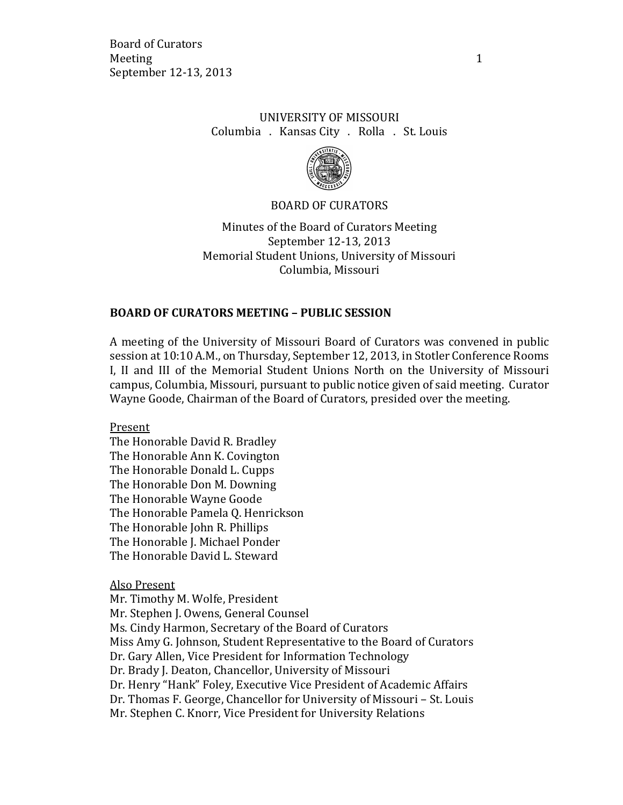Board of Curators Meeting 1 September 12-13, 2013

## UNIVERSITY OF MISSOURI Columbia . Kansas City . Rolla . St. Louis



#### BOARD OF CURATORS

Minutes of the Board of Curators Meeting September 12-13, 2013 Memorial Student Unions, University of Missouri Columbia, Missouri

### **BOARD OF CURATORS MEETING – PUBLIC SESSION**

A meeting of the University of Missouri Board of Curators was convened in public session at 10:10 A.M., on Thursday, September 12, 2013, in Stotler Conference Rooms I, II and III of the Memorial Student Unions North on the University of Missouri campus, Columbia, Missouri, pursuant to public notice given of said meeting. Curator Wayne Goode, Chairman of the Board of Curators, presided over the meeting.

Present

The Honorable David R. Bradley The Honorable Ann K. Covington The Honorable Donald L. Cupps The Honorable Don M. Downing The Honorable Wayne Goode The Honorable Pamela Q. Henrickson The Honorable John R. Phillips The Honorable J. Michael Ponder The Honorable David L. Steward

Also Present

Mr. Timothy M. Wolfe, President Mr. Stephen J. Owens, General Counsel Ms. Cindy Harmon, Secretary of the Board of Curators Miss Amy G. Johnson, Student Representative to the Board of Curators Dr. Gary Allen, Vice President for Information Technology Dr. Brady J. Deaton, Chancellor, University of Missouri Dr. Henry "Hank" Foley, Executive Vice President of Academic Affairs Dr. Thomas F. George, Chancellor for University of Missouri – St. Louis Mr. Stephen C. Knorr, Vice President for University Relations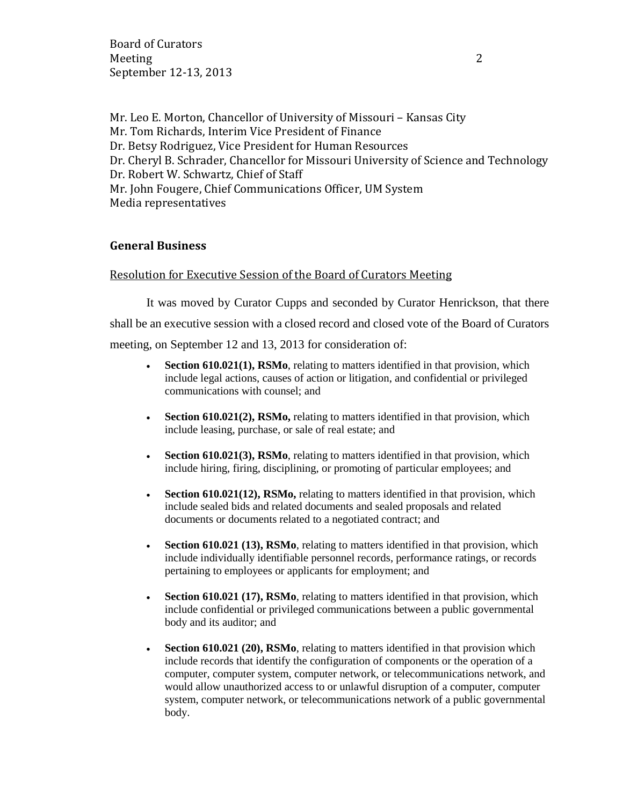Board of Curators Meeting 2 September 12-13, 2013

Mr. Leo E. Morton, Chancellor of University of Missouri – Kansas City Mr. Tom Richards, Interim Vice President of Finance Dr. Betsy Rodriguez, Vice President for Human Resources Dr. Cheryl B. Schrader, Chancellor for Missouri University of Science and Technology Dr. Robert W. Schwartz, Chief of Staff Mr. John Fougere, Chief Communications Officer, UM System Media representatives

### **General Business**

Resolution for Executive Session of the Board of Curators Meeting

It was moved by Curator Cupps and seconded by Curator Henrickson, that there shall be an executive session with a closed record and closed vote of the Board of Curators meeting, on September 12 and 13, 2013 for consideration of:

- **Section 610.021(1), RSMo**, relating to matters identified in that provision, which include legal actions, causes of action or litigation, and confidential or privileged communications with counsel; and
- **Section 610.021(2), RSMo,** relating to matters identified in that provision, which include leasing, purchase, or sale of real estate; and
- **Section 610.021(3), RSMo**, relating to matters identified in that provision, which include hiring, firing, disciplining, or promoting of particular employees; and
- **Section 610.021(12), RSMo,** relating to matters identified in that provision, which include sealed bids and related documents and sealed proposals and related documents or documents related to a negotiated contract; and
- **Section 610.021 (13), RSMo**, relating to matters identified in that provision, which include individually identifiable personnel records, performance ratings, or records pertaining to employees or applicants for employment; and
- **Section 610.021 (17), RSMo**, relating to matters identified in that provision, which include confidential or privileged communications between a public governmental body and its auditor; and
- **Section 610.021 (20), RSMo**, relating to matters identified in that provision which include records that identify the configuration of components or the operation of a computer, computer system, computer network, or telecommunications network, and would allow unauthorized access to or unlawful disruption of a computer, computer system, computer network, or telecommunications network of a public governmental body.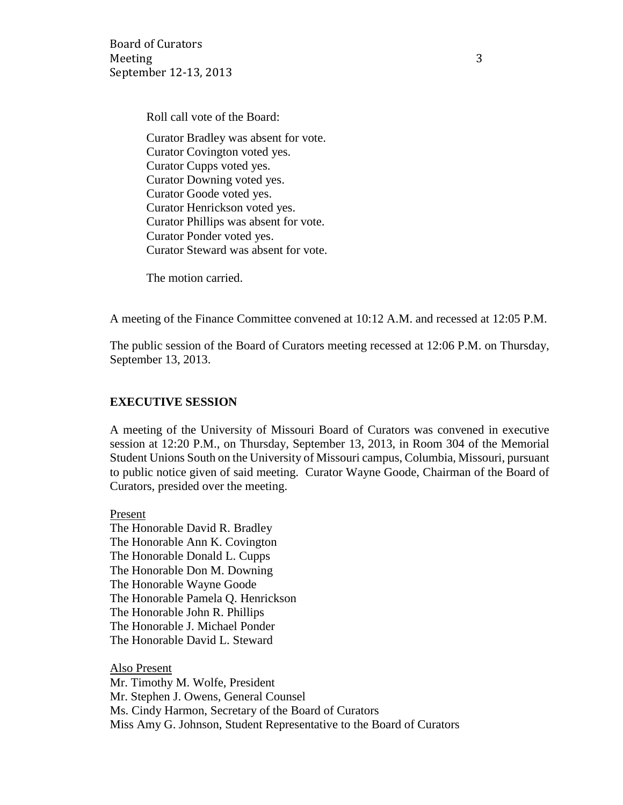Board of Curators Meeting 3 September 12-13, 2013

Roll call vote of the Board:

Curator Bradley was absent for vote. Curator Covington voted yes. Curator Cupps voted yes. Curator Downing voted yes. Curator Goode voted yes. Curator Henrickson voted yes. Curator Phillips was absent for vote. Curator Ponder voted yes. Curator Steward was absent for vote.

The motion carried.

A meeting of the Finance Committee convened at 10:12 A.M. and recessed at 12:05 P.M.

The public session of the Board of Curators meeting recessed at 12:06 P.M. on Thursday, September 13, 2013.

#### **EXECUTIVE SESSION**

A meeting of the University of Missouri Board of Curators was convened in executive session at 12:20 P.M., on Thursday, September 13, 2013, in Room 304 of the Memorial Student Unions South on the University of Missouri campus, Columbia, Missouri, pursuant to public notice given of said meeting. Curator Wayne Goode, Chairman of the Board of Curators, presided over the meeting.

Present The Honorable David R. Bradley The Honorable Ann K. Covington The Honorable Donald L. Cupps The Honorable Don M. Downing The Honorable Wayne Goode The Honorable Pamela Q. Henrickson The Honorable John R. Phillips The Honorable J. Michael Ponder The Honorable David L. Steward

Also Present Mr. Timothy M. Wolfe, President Mr. Stephen J. Owens, General Counsel Ms. Cindy Harmon, Secretary of the Board of Curators Miss Amy G. Johnson, Student Representative to the Board of Curators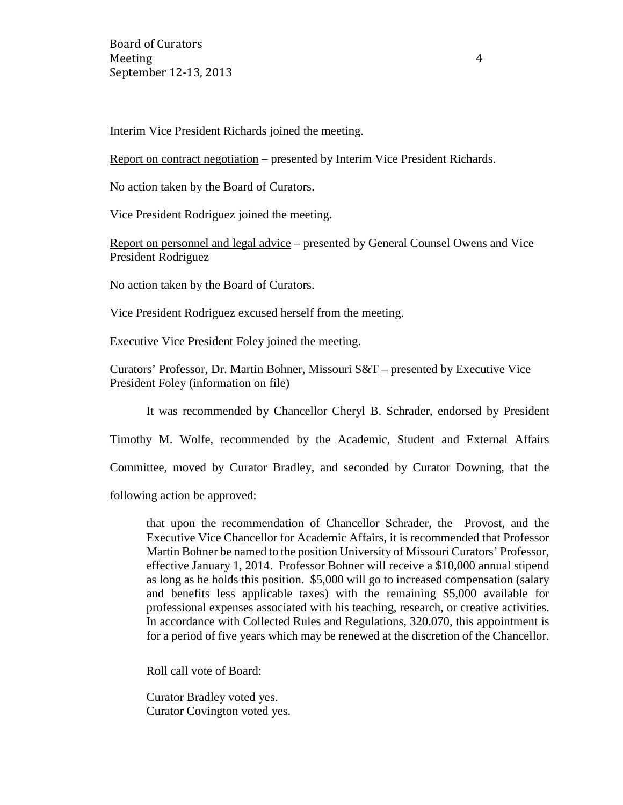Board of Curators Meeting 4 September 12-13, 2013

Interim Vice President Richards joined the meeting.

Report on contract negotiation – presented by Interim Vice President Richards.

No action taken by the Board of Curators.

Vice President Rodriguez joined the meeting.

Report on personnel and legal advice – presented by General Counsel Owens and Vice President Rodriguez

No action taken by the Board of Curators.

Vice President Rodriguez excused herself from the meeting.

Executive Vice President Foley joined the meeting.

Curators' Professor, Dr. Martin Bohner, Missouri S&T – presented by Executive Vice President Foley (information on file)

It was recommended by Chancellor Cheryl B. Schrader, endorsed by President

Timothy M. Wolfe, recommended by the Academic, Student and External Affairs

Committee, moved by Curator Bradley, and seconded by Curator Downing, that the

following action be approved:

that upon the recommendation of Chancellor Schrader, the Provost, and the Executive Vice Chancellor for Academic Affairs, it is recommended that Professor Martin Bohner be named to the position University of Missouri Curators' Professor, effective January 1, 2014. Professor Bohner will receive a \$10,000 annual stipend as long as he holds this position. \$5,000 will go to increased compensation (salary and benefits less applicable taxes) with the remaining \$5,000 available for professional expenses associated with his teaching, research, or creative activities. In accordance with Collected Rules and Regulations, 320.070, this appointment is for a period of five years which may be renewed at the discretion of the Chancellor.

Roll call vote of Board:

Curator Bradley voted yes. Curator Covington voted yes.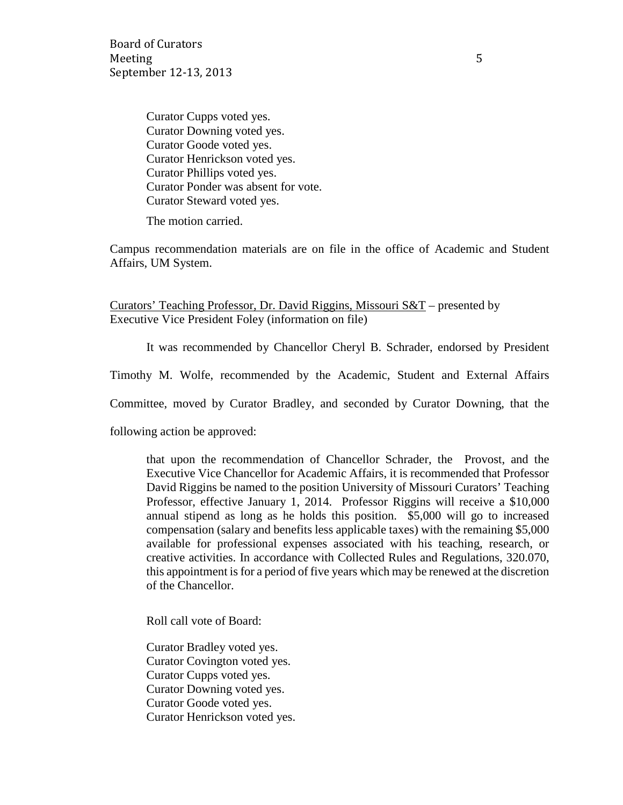Board of Curators Meeting 5 September 12-13, 2013

Curator Cupps voted yes. Curator Downing voted yes. Curator Goode voted yes. Curator Henrickson voted yes. Curator Phillips voted yes. Curator Ponder was absent for vote. Curator Steward voted yes.

The motion carried.

Campus recommendation materials are on file in the office of Academic and Student Affairs, UM System.

Curators' Teaching Professor, Dr. David Riggins, Missouri S&T – presented by Executive Vice President Foley (information on file)

It was recommended by Chancellor Cheryl B. Schrader, endorsed by President

Timothy M. Wolfe, recommended by the Academic, Student and External Affairs

Committee, moved by Curator Bradley, and seconded by Curator Downing, that the

following action be approved:

that upon the recommendation of Chancellor Schrader, the Provost, and the Executive Vice Chancellor for Academic Affairs, it is recommended that Professor David Riggins be named to the position University of Missouri Curators' Teaching Professor, effective January 1, 2014. Professor Riggins will receive a \$10,000 annual stipend as long as he holds this position. \$5,000 will go to increased compensation (salary and benefits less applicable taxes) with the remaining \$5,000 available for professional expenses associated with his teaching, research, or creative activities. In accordance with Collected Rules and Regulations, 320.070, this appointment is for a period of five years which may be renewed at the discretion of the Chancellor.

Roll call vote of Board:

Curator Bradley voted yes. Curator Covington voted yes. Curator Cupps voted yes. Curator Downing voted yes. Curator Goode voted yes. Curator Henrickson voted yes.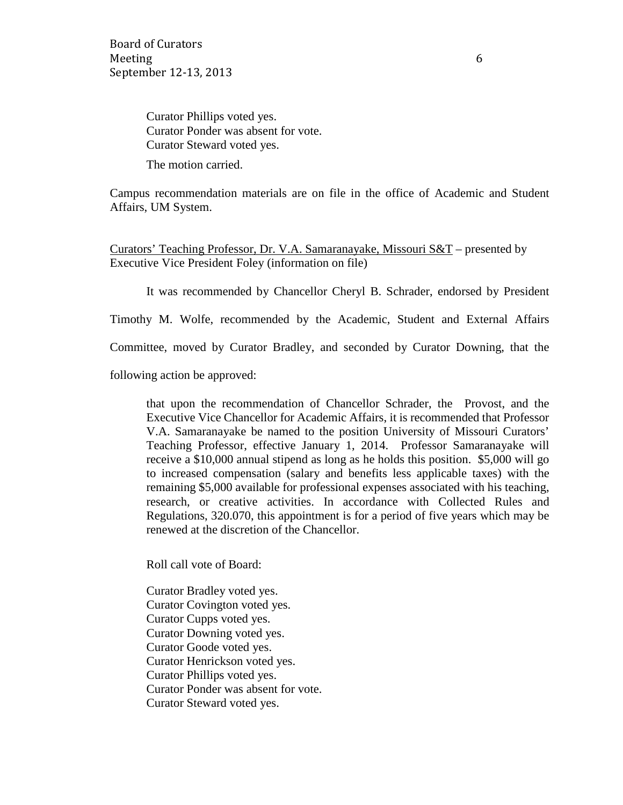Curator Phillips voted yes. Curator Ponder was absent for vote. Curator Steward voted yes.

The motion carried.

Campus recommendation materials are on file in the office of Academic and Student Affairs, UM System.

Curators' Teaching Professor, Dr. V.A. Samaranayake, Missouri S&T – presented by Executive Vice President Foley (information on file)

It was recommended by Chancellor Cheryl B. Schrader, endorsed by President

Timothy M. Wolfe, recommended by the Academic, Student and External Affairs

Committee, moved by Curator Bradley, and seconded by Curator Downing, that the

following action be approved:

that upon the recommendation of Chancellor Schrader, the Provost, and the Executive Vice Chancellor for Academic Affairs, it is recommended that Professor V.A. Samaranayake be named to the position University of Missouri Curators' Teaching Professor, effective January 1, 2014. Professor Samaranayake will receive a \$10,000 annual stipend as long as he holds this position. \$5,000 will go to increased compensation (salary and benefits less applicable taxes) with the remaining \$5,000 available for professional expenses associated with his teaching, research, or creative activities. In accordance with Collected Rules and Regulations, 320.070, this appointment is for a period of five years which may be renewed at the discretion of the Chancellor.

Roll call vote of Board:

Curator Bradley voted yes. Curator Covington voted yes. Curator Cupps voted yes. Curator Downing voted yes. Curator Goode voted yes. Curator Henrickson voted yes. Curator Phillips voted yes. Curator Ponder was absent for vote. Curator Steward voted yes.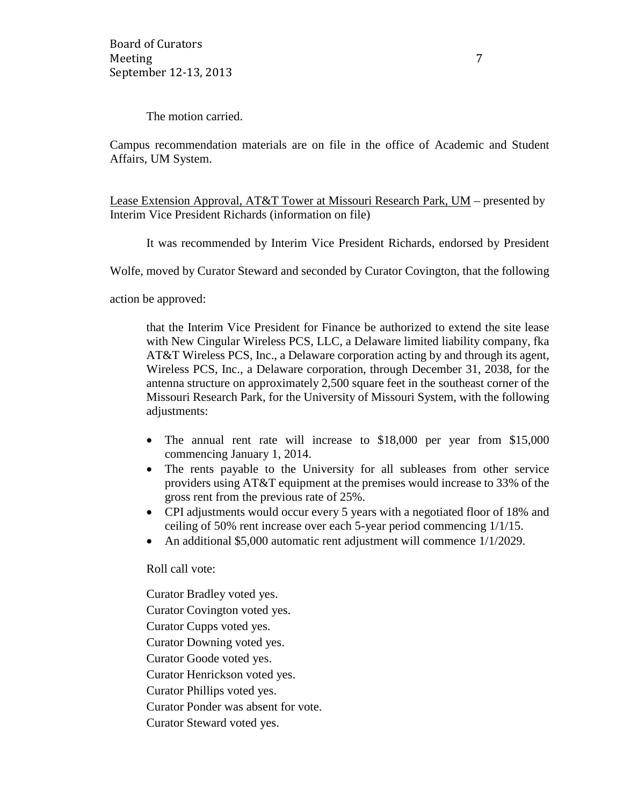The motion carried.

Campus recommendation materials are on file in the office of Academic and Student Affairs, UM System.

Lease Extension Approval, AT&T Tower at Missouri Research Park, UM – presented by Interim Vice President Richards (information on file)

It was recommended by Interim Vice President Richards, endorsed by President

Wolfe, moved by Curator Steward and seconded by Curator Covington, that the following

action be approved:

that the Interim Vice President for Finance be authorized to extend the site lease with New Cingular Wireless PCS, LLC, a Delaware limited liability company, fka AT&T Wireless PCS, Inc., a Delaware corporation acting by and through its agent, Wireless PCS, Inc., a Delaware corporation, through December 31, 2038, for the antenna structure on approximately 2,500 square feet in the southeast corner of the Missouri Research Park, for the University of Missouri System, with the following adjustments:

- The annual rent rate will increase to \$18,000 per year from \$15,000 commencing January 1, 2014.
- The rents payable to the University for all subleases from other service providers using AT&T equipment at the premises would increase to 33% of the gross rent from the previous rate of 25%.
- CPI adjustments would occur every 5 years with a negotiated floor of 18% and ceiling of 50% rent increase over each 5-year period commencing 1/1/15.
- An additional \$5,000 automatic rent adjustment will commence  $1/1/2029$ .

Roll call vote:

Curator Bradley voted yes. Curator Covington voted yes. Curator Cupps voted yes. Curator Downing voted yes. Curator Goode voted yes. Curator Henrickson voted yes. Curator Phillips voted yes. Curator Ponder was absent for vote. Curator Steward voted yes.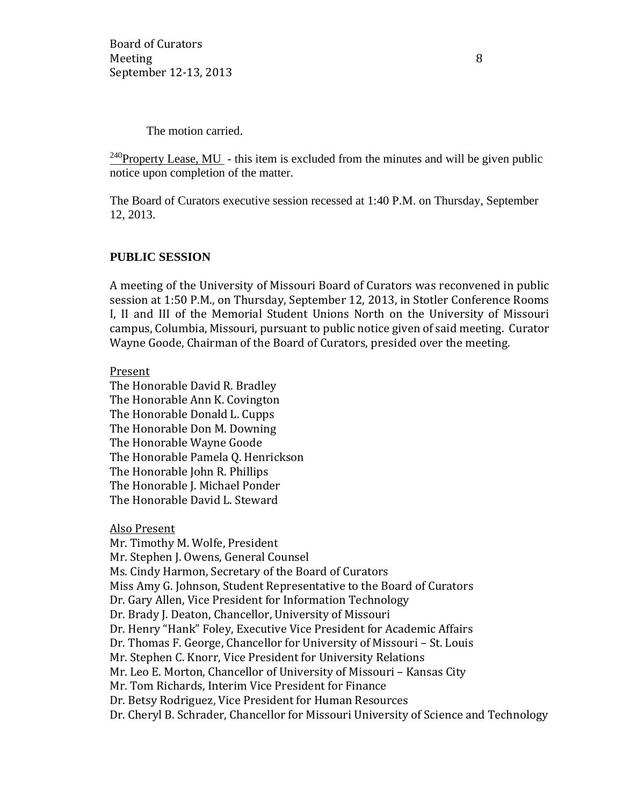The motion carried.

<sup>240</sup>Property Lease, MU - this item is excluded from the minutes and will be given public notice upon completion of the matter.

The Board of Curators executive session recessed at 1:40 P.M. on Thursday, September 12, 2013.

### **PUBLIC SESSION**

A meeting of the University of Missouri Board of Curators was reconvened in public session at 1:50 P.M., on Thursday, September 12, 2013, in Stotler Conference Rooms I, II and III of the Memorial Student Unions North on the University of Missouri campus, Columbia, Missouri, pursuant to public notice given of said meeting. Curator Wayne Goode, Chairman of the Board of Curators, presided over the meeting.

#### Present

The Honorable David R. Bradley The Honorable Ann K. Covington The Honorable Donald L. Cupps The Honorable Don M. Downing The Honorable Wayne Goode The Honorable Pamela Q. Henrickson The Honorable John R. Phillips The Honorable J. Michael Ponder The Honorable David L. Steward

Also Present

Mr. Timothy M. Wolfe, President Mr. Stephen J. Owens, General Counsel Ms. Cindy Harmon, Secretary of the Board of Curators Miss Amy G. Johnson, Student Representative to the Board of Curators Dr. Gary Allen, Vice President for Information Technology Dr. Brady J. Deaton, Chancellor, University of Missouri Dr. Henry "Hank" Foley, Executive Vice President for Academic Affairs Dr. Thomas F. George, Chancellor for University of Missouri – St. Louis Mr. Stephen C. Knorr, Vice President for University Relations Mr. Leo E. Morton, Chancellor of University of Missouri – Kansas City Mr. Tom Richards, Interim Vice President for Finance Dr. Betsy Rodriguez, Vice President for Human Resources Dr. Cheryl B. Schrader, Chancellor for Missouri University of Science and Technology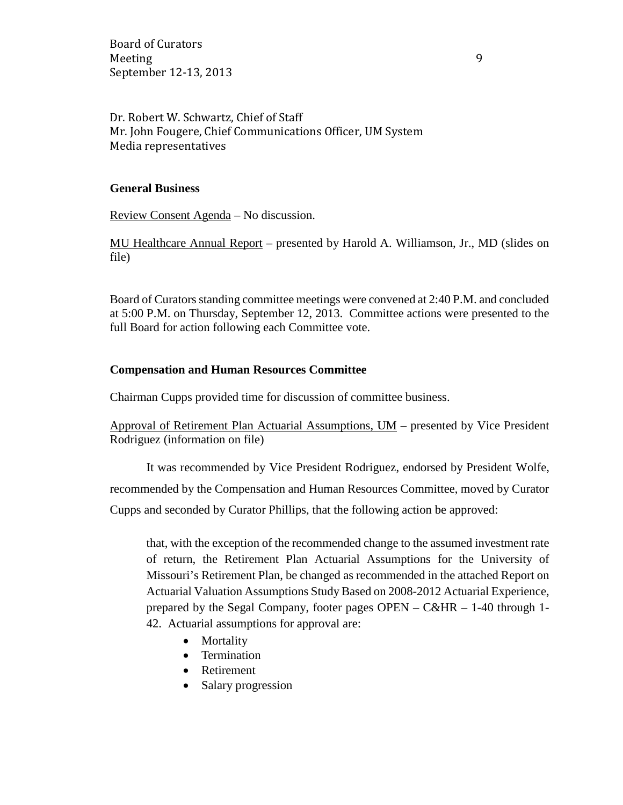Board of Curators Meeting 9 September 12-13, 2013

Dr. Robert W. Schwartz, Chief of Staff Mr. John Fougere, Chief Communications Officer, UM System Media representatives

### **General Business**

Review Consent Agenda – No discussion.

MU Healthcare Annual Report – presented by Harold A. Williamson, Jr., MD (slides on file)

Board of Curators standing committee meetings were convened at 2:40 P.M. and concluded at 5:00 P.M. on Thursday, September 12, 2013. Committee actions were presented to the full Board for action following each Committee vote.

### **Compensation and Human Resources Committee**

Chairman Cupps provided time for discussion of committee business.

Approval of Retirement Plan Actuarial Assumptions, UM – presented by Vice President Rodriguez (information on file)

It was recommended by Vice President Rodriguez, endorsed by President Wolfe, recommended by the Compensation and Human Resources Committee, moved by Curator Cupps and seconded by Curator Phillips, that the following action be approved:

that, with the exception of the recommended change to the assumed investment rate of return, the Retirement Plan Actuarial Assumptions for the University of Missouri's Retirement Plan, be changed as recommended in the attached Report on Actuarial Valuation Assumptions Study Based on 2008-2012 Actuarial Experience, prepared by the Segal Company, footer pages  $OPEN - C&HR - 1-40$  through 1-42. Actuarial assumptions for approval are:

- Mortality
- Termination
- Retirement
- Salary progression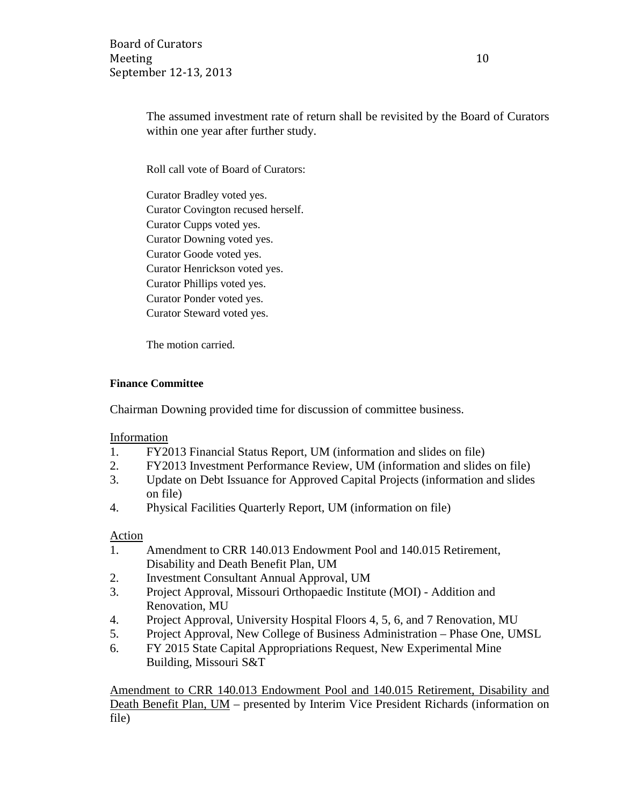Board of Curators Meeting 10 September 12-13, 2013

The assumed investment rate of return shall be revisited by the Board of Curators within one year after further study.

Roll call vote of Board of Curators:

Curator Bradley voted yes. Curator Covington recused herself. Curator Cupps voted yes. Curator Downing voted yes. Curator Goode voted yes. Curator Henrickson voted yes. Curator Phillips voted yes. Curator Ponder voted yes. Curator Steward voted yes.

The motion carried.

### **Finance Committee**

Chairman Downing provided time for discussion of committee business.

Information

- 1. FY2013 Financial Status Report, UM (information and slides on file)
- 2. FY2013 Investment Performance Review, UM (information and slides on file)
- 3. Update on Debt Issuance for Approved Capital Projects (information and slides on file)
- 4. Physical Facilities Quarterly Report, UM (information on file)

#### Action

- 1. Amendment to CRR 140.013 Endowment Pool and 140.015 Retirement, Disability and Death Benefit Plan, UM
- 2. Investment Consultant Annual Approval, UM
- 3. Project Approval, Missouri Orthopaedic Institute (MOI) Addition and Renovation, MU
- 4. Project Approval, University Hospital Floors 4, 5, 6, and 7 Renovation, MU
- 5. Project Approval, New College of Business Administration Phase One, UMSL
- 6. FY 2015 State Capital Appropriations Request, New Experimental Mine Building, Missouri S&T

Amendment to CRR 140.013 Endowment Pool and 140.015 Retirement, Disability and Death Benefit Plan, UM – presented by Interim Vice President Richards (information on file)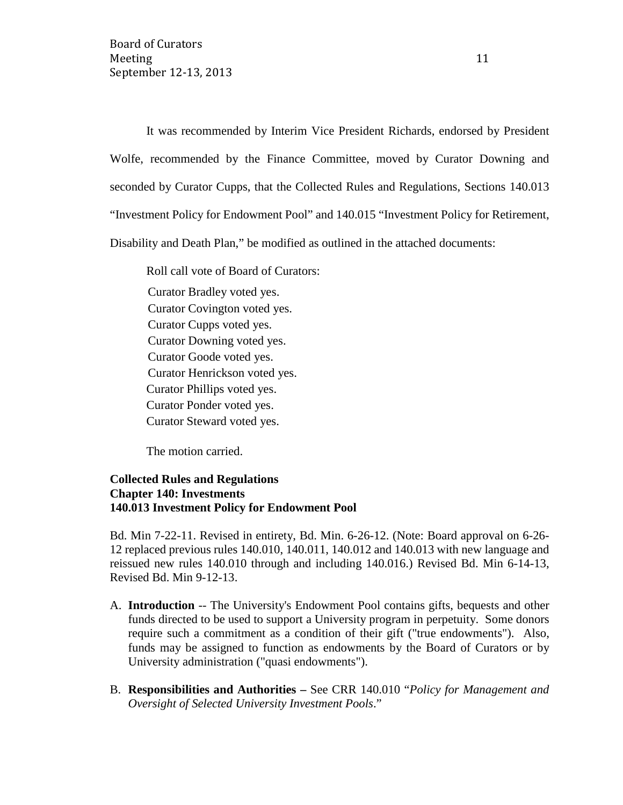It was recommended by Interim Vice President Richards, endorsed by President Wolfe, recommended by the Finance Committee, moved by Curator Downing and seconded by Curator Cupps, that the Collected Rules and Regulations, Sections 140.013 "Investment Policy for Endowment Pool" and 140.015 "Investment Policy for Retirement, Disability and Death Plan," be modified as outlined in the attached documents:

Roll call vote of Board of Curators: Curator Bradley voted yes. Curator Covington voted yes. Curator Cupps voted yes. Curator Downing voted yes. Curator Goode voted yes. Curator Henrickson voted yes. Curator Phillips voted yes. Curator Ponder voted yes. Curator Steward voted yes.

The motion carried.

### **Collected Rules and Regulations Chapter 140: Investments 140.013 Investment Policy for Endowment Pool**

Bd. Min 7-22-11. Revised in entirety, Bd. Min. 6-26-12. (Note: Board approval on 6-26- 12 replaced previous rules 140.010, 140.011, 140.012 and 140.013 with new language and reissued new rules 140.010 through and including 140.016.) Revised Bd. Min 6-14-13, Revised Bd. Min 9-12-13.

- A. **Introduction** -- The University's Endowment Pool contains gifts, bequests and other funds directed to be used to support a University program in perpetuity. Some donors require such a commitment as a condition of their gift ("true endowments"). Also, funds may be assigned to function as endowments by the Board of Curators or by University administration ("quasi endowments").
- B. **Responsibilities and Authorities –** See CRR 140.010 "*Policy for Management and Oversight of Selected University Investment Pools*."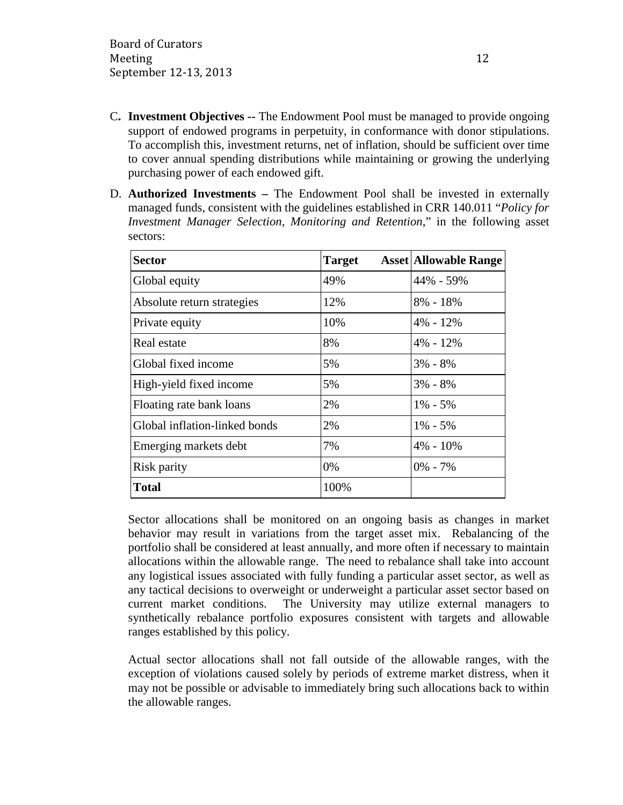- C**. Investment Objectives --** The Endowment Pool must be managed to provide ongoing support of endowed programs in perpetuity, in conformance with donor stipulations. To accomplish this, investment returns, net of inflation, should be sufficient over time to cover annual spending distributions while maintaining or growing the underlying purchasing power of each endowed gift.
- D. **Authorized Investments –** The Endowment Pool shall be invested in externally managed funds, consistent with the guidelines established in CRR 140.011 "*Policy for Investment Manager Selection, Monitoring and Retention*," in the following asset sectors:

| <b>Sector</b>                 | <b>Target</b> | <b>Asset Allowable Range</b> |
|-------------------------------|---------------|------------------------------|
| Global equity                 | 49%           | 44% - 59%                    |
| Absolute return strategies    | 12%           | $8\% - 18\%$                 |
| Private equity                | 10%           | $4\% - 12\%$                 |
| Real estate                   | 8%            | $4\% - 12\%$                 |
| Global fixed income           | 5%            | $3\% - 8\%$                  |
| High-yield fixed income       | 5%            | $3\% - 8\%$                  |
| Floating rate bank loans      | 2%            | $1\% - 5\%$                  |
| Global inflation-linked bonds | 2%            | $1\% - 5\%$                  |
| Emerging markets debt         | 7%            | $4\% - 10\%$                 |
| Risk parity                   | 0%            | $0\% - 7\%$                  |
| <b>Total</b>                  | 100%          |                              |

Sector allocations shall be monitored on an ongoing basis as changes in market behavior may result in variations from the target asset mix. Rebalancing of the portfolio shall be considered at least annually, and more often if necessary to maintain allocations within the allowable range. The need to rebalance shall take into account any logistical issues associated with fully funding a particular asset sector, as well as any tactical decisions to overweight or underweight a particular asset sector based on current market conditions. The University may utilize external managers to synthetically rebalance portfolio exposures consistent with targets and allowable ranges established by this policy.

Actual sector allocations shall not fall outside of the allowable ranges, with the exception of violations caused solely by periods of extreme market distress, when it may not be possible or advisable to immediately bring such allocations back to within the allowable ranges.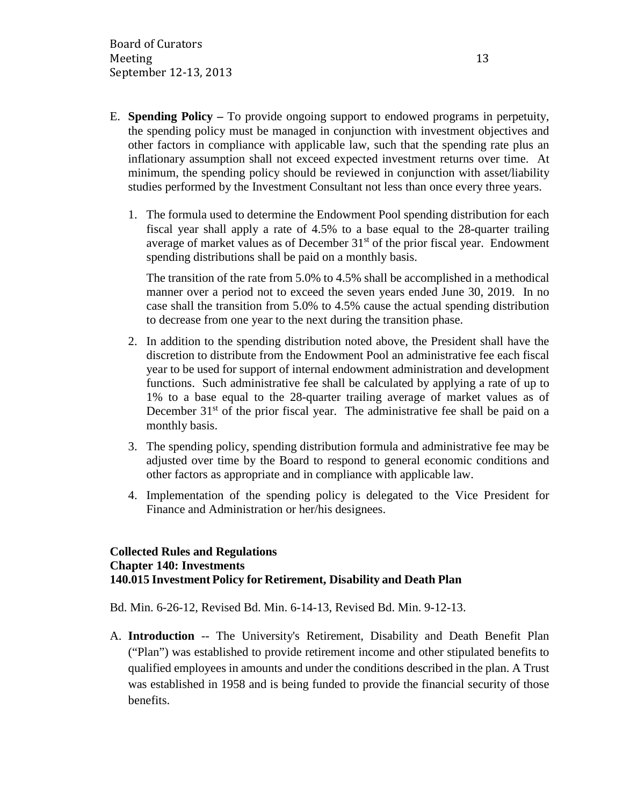- E. **Spending Policy –** To provide ongoing support to endowed programs in perpetuity, the spending policy must be managed in conjunction with investment objectives and other factors in compliance with applicable law, such that the spending rate plus an inflationary assumption shall not exceed expected investment returns over time. At minimum, the spending policy should be reviewed in conjunction with asset/liability studies performed by the Investment Consultant not less than once every three years.
	- 1. The formula used to determine the Endowment Pool spending distribution for each fiscal year shall apply a rate of 4.5% to a base equal to the 28-quarter trailing average of market values as of December  $31<sup>st</sup>$  of the prior fiscal year. Endowment spending distributions shall be paid on a monthly basis.

The transition of the rate from 5.0% to 4.5% shall be accomplished in a methodical manner over a period not to exceed the seven years ended June 30, 2019. In no case shall the transition from 5.0% to 4.5% cause the actual spending distribution to decrease from one year to the next during the transition phase.

- 2. In addition to the spending distribution noted above, the President shall have the discretion to distribute from the Endowment Pool an administrative fee each fiscal year to be used for support of internal endowment administration and development functions. Such administrative fee shall be calculated by applying a rate of up to 1% to a base equal to the 28-quarter trailing average of market values as of December  $31<sup>st</sup>$  of the prior fiscal year. The administrative fee shall be paid on a monthly basis.
- 3. The spending policy, spending distribution formula and administrative fee may be adjusted over time by the Board to respond to general economic conditions and other factors as appropriate and in compliance with applicable law.
- 4. Implementation of the spending policy is delegated to the Vice President for Finance and Administration or her/his designees.

### **Collected Rules and Regulations Chapter 140: Investments 140.015 Investment Policy for Retirement, Disability and Death Plan**

Bd. Min. 6-26-12, Revised Bd. Min. 6-14-13, Revised Bd. Min. 9-12-13.

A. **Introduction** -- The University's Retirement, Disability and Death Benefit Plan ("Plan") was established to provide retirement income and other stipulated benefits to qualified employees in amounts and under the conditions described in the plan. A Trust was established in 1958 and is being funded to provide the financial security of those benefits.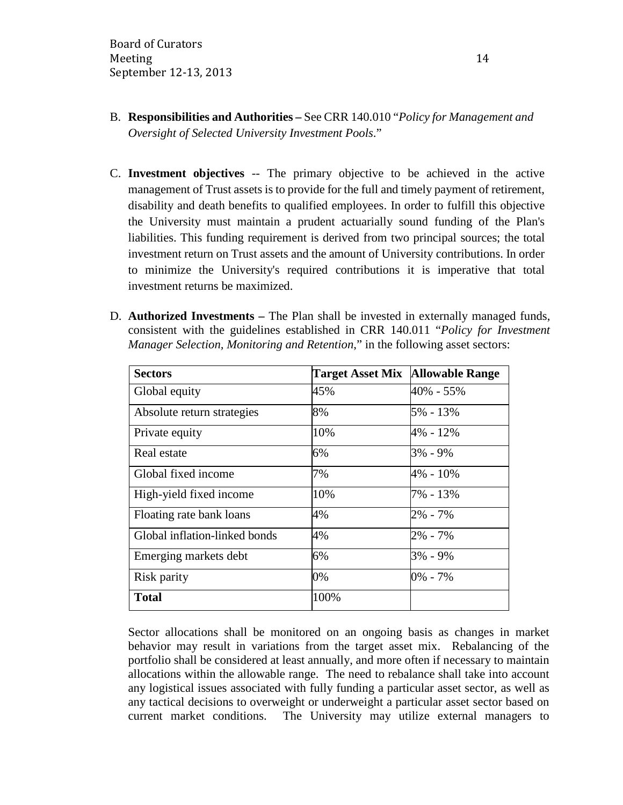- B. **Responsibilities and Authorities –** See CRR 140.010 "*Policy for Management and Oversight of Selected University Investment Pools*."
- C. **Investment objectives** -- The primary objective to be achieved in the active management of Trust assets is to provide for the full and timely payment of retirement, disability and death benefits to qualified employees. In order to fulfill this objective the University must maintain a prudent actuarially sound funding of the Plan's liabilities. This funding requirement is derived from two principal sources; the total investment return on Trust assets and the amount of University contributions. In order to minimize the University's required contributions it is imperative that total investment returns be maximized.
- D. **Authorized Investments –** The Plan shall be invested in externally managed funds, consistent with the guidelines established in CRR 140.011 "*Policy for Investment Manager Selection, Monitoring and Retention*," in the following asset sectors:

| <b>Sectors</b>                | <b>Target Asset Mix Allowable Range</b> |           |
|-------------------------------|-----------------------------------------|-----------|
| Global equity                 | 45%                                     | 40% - 55% |
| Absolute return strategies    | 8%                                      | 5% - 13%  |
| Private equity                | 10%                                     | 4% - 12%  |
| Real estate                   | 6%                                      | 3% - 9%   |
| Global fixed income           | 7%                                      | 4% - 10%  |
| High-yield fixed income       | 10%                                     | 7% - 13%  |
| Floating rate bank loans      | 4%                                      | 2% - 7%   |
| Global inflation-linked bonds | 4%                                      | 2% - 7%   |
| Emerging markets debt         | 6%                                      | 3% - 9%   |
| Risk parity                   | 0%                                      | 0% - 7%   |
| <b>Total</b>                  | 100%                                    |           |

Sector allocations shall be monitored on an ongoing basis as changes in market behavior may result in variations from the target asset mix. Rebalancing of the portfolio shall be considered at least annually, and more often if necessary to maintain allocations within the allowable range. The need to rebalance shall take into account any logistical issues associated with fully funding a particular asset sector, as well as any tactical decisions to overweight or underweight a particular asset sector based on current market conditions. The University may utilize external managers to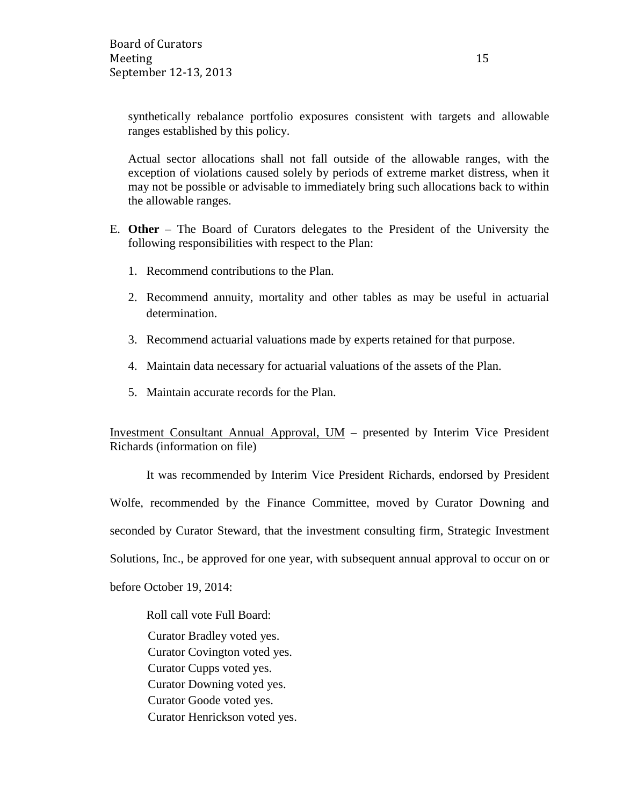synthetically rebalance portfolio exposures consistent with targets and allowable ranges established by this policy.

Actual sector allocations shall not fall outside of the allowable ranges, with the exception of violations caused solely by periods of extreme market distress, when it may not be possible or advisable to immediately bring such allocations back to within the allowable ranges.

- E. **Other** The Board of Curators delegates to the President of the University the following responsibilities with respect to the Plan:
	- 1. Recommend contributions to the Plan.
	- 2. Recommend annuity, mortality and other tables as may be useful in actuarial determination.
	- 3. Recommend actuarial valuations made by experts retained for that purpose.
	- 4. Maintain data necessary for actuarial valuations of the assets of the Plan.
	- 5. Maintain accurate records for the Plan.

Investment Consultant Annual Approval, UM – presented by Interim Vice President Richards (information on file)

It was recommended by Interim Vice President Richards, endorsed by President Wolfe, recommended by the Finance Committee, moved by Curator Downing and seconded by Curator Steward, that the investment consulting firm, Strategic Investment Solutions, Inc., be approved for one year, with subsequent annual approval to occur on or before October 19, 2014:

Roll call vote Full Board:

Curator Bradley voted yes. Curator Covington voted yes. Curator Cupps voted yes. Curator Downing voted yes. Curator Goode voted yes. Curator Henrickson voted yes.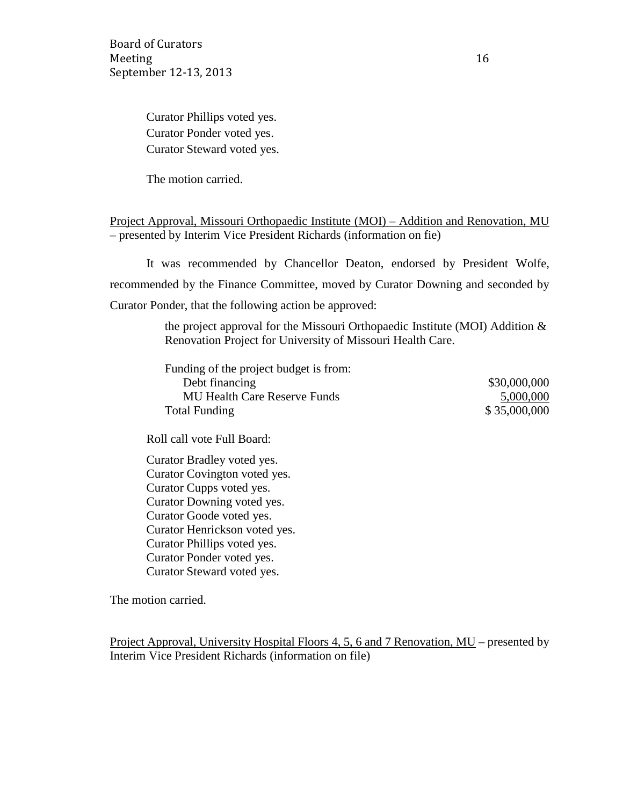Board of Curators Meeting 16 September 12-13, 2013

Curator Phillips voted yes. Curator Ponder voted yes. Curator Steward voted yes.

The motion carried.

Project Approval, Missouri Orthopaedic Institute (MOI) – Addition and Renovation, MU – presented by Interim Vice President Richards (information on fie)

It was recommended by Chancellor Deaton, endorsed by President Wolfe, recommended by the Finance Committee, moved by Curator Downing and seconded by Curator Ponder, that the following action be approved:

> the project approval for the Missouri Orthopaedic Institute (MOI) Addition & Renovation Project for University of Missouri Health Care.

| Funding of the project budget is from: |              |
|----------------------------------------|--------------|
| Debt financing                         | \$30,000,000 |
| <b>MU Health Care Reserve Funds</b>    | 5,000,000    |
| <b>Total Funding</b>                   | \$35,000,000 |

Roll call vote Full Board:

Curator Bradley voted yes. Curator Covington voted yes. Curator Cupps voted yes. Curator Downing voted yes. Curator Goode voted yes. Curator Henrickson voted yes. Curator Phillips voted yes. Curator Ponder voted yes. Curator Steward voted yes.

The motion carried.

Project Approval, University Hospital Floors 4, 5, 6 and 7 Renovation, MU – presented by Interim Vice President Richards (information on file)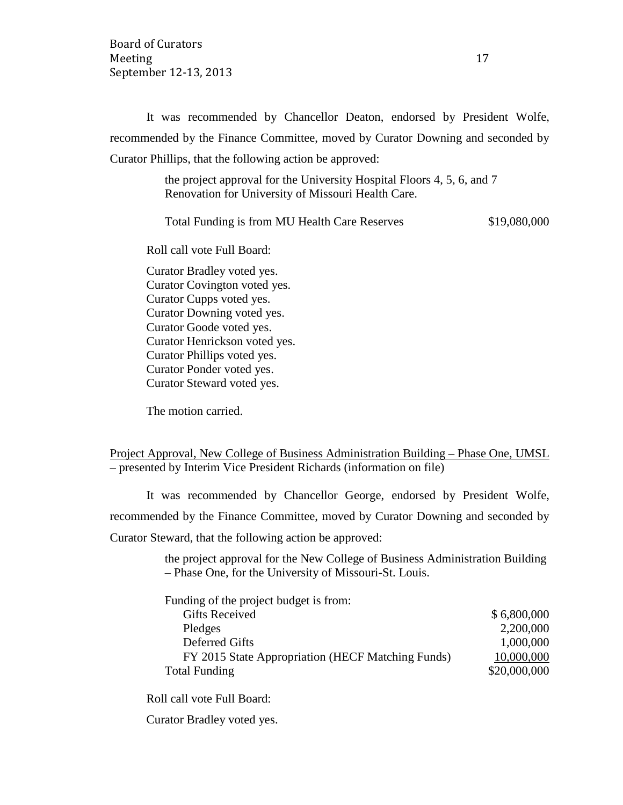It was recommended by Chancellor Deaton, endorsed by President Wolfe, recommended by the Finance Committee, moved by Curator Downing and seconded by Curator Phillips, that the following action be approved:

> the project approval for the University Hospital Floors 4, 5, 6, and 7 Renovation for University of Missouri Health Care.

Total Funding is from MU Health Care Reserves \$19,080,000

Roll call vote Full Board:

Curator Bradley voted yes. Curator Covington voted yes. Curator Cupps voted yes. Curator Downing voted yes. Curator Goode voted yes. Curator Henrickson voted yes. Curator Phillips voted yes. Curator Ponder voted yes. Curator Steward voted yes.

The motion carried.

|  |  | Project Approval, New College of Business Administration Building – Phase One, UMSL |  |  |
|--|--|-------------------------------------------------------------------------------------|--|--|
|  |  | - presented by Interim Vice President Richards (information on file)                |  |  |

It was recommended by Chancellor George, endorsed by President Wolfe, recommended by the Finance Committee, moved by Curator Downing and seconded by Curator Steward, that the following action be approved:

> the project approval for the New College of Business Administration Building – Phase One, for the University of Missouri-St. Louis.

| Funding of the project budget is from:            |              |
|---------------------------------------------------|--------------|
| <b>Gifts Received</b>                             | \$6,800,000  |
| Pledges                                           | 2,200,000    |
| <b>Deferred Gifts</b>                             | 1,000,000    |
| FY 2015 State Appropriation (HECF Matching Funds) | 10,000,000   |
| <b>Total Funding</b>                              | \$20,000,000 |

Roll call vote Full Board:

Curator Bradley voted yes.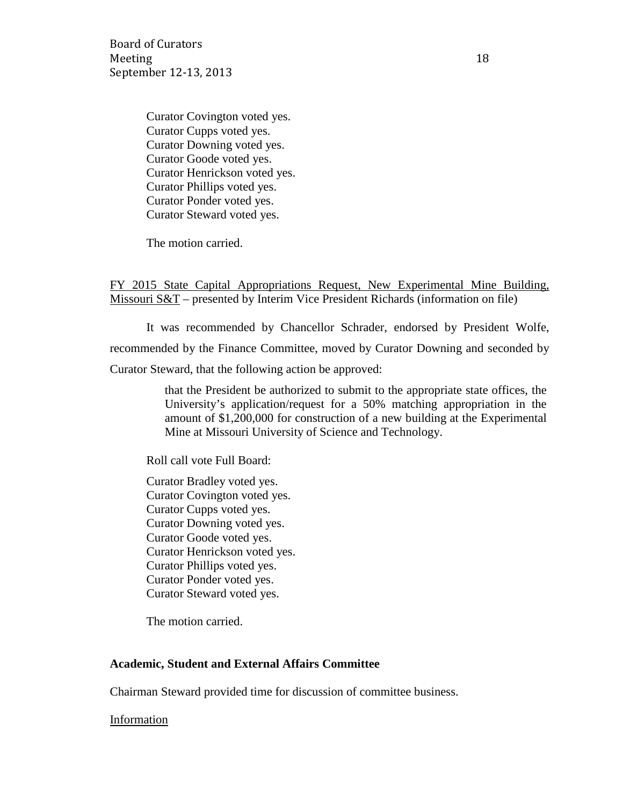Board of Curators Meeting 18 September 12-13, 2013

Curator Covington voted yes. Curator Cupps voted yes. Curator Downing voted yes. Curator Goode voted yes. Curator Henrickson voted yes. Curator Phillips voted yes. Curator Ponder voted yes. Curator Steward voted yes.

The motion carried.

FY 2015 State Capital Appropriations Request, New Experimental Mine Building, Missouri S&T – presented by Interim Vice President Richards (information on file)

It was recommended by Chancellor Schrader, endorsed by President Wolfe, recommended by the Finance Committee, moved by Curator Downing and seconded by Curator Steward, that the following action be approved:

> that the President be authorized to submit to the appropriate state offices, the University's application/request for a 50% matching appropriation in the amount of \$1,200,000 for construction of a new building at the Experimental Mine at Missouri University of Science and Technology.

Roll call vote Full Board:

Curator Bradley voted yes. Curator Covington voted yes. Curator Cupps voted yes. Curator Downing voted yes. Curator Goode voted yes. Curator Henrickson voted yes. Curator Phillips voted yes. Curator Ponder voted yes. Curator Steward voted yes.

The motion carried.

#### **Academic, Student and External Affairs Committee**

Chairman Steward provided time for discussion of committee business.

Information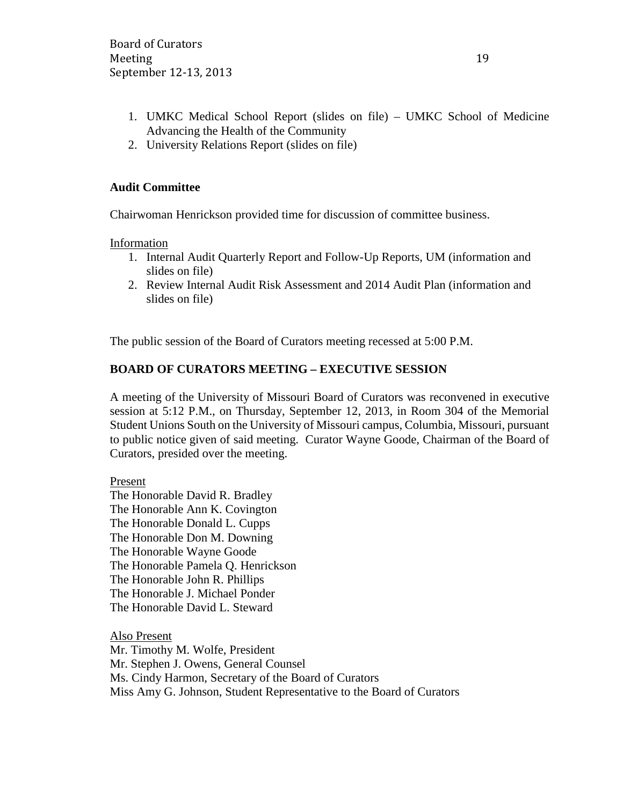- 1. UMKC Medical School Report (slides on file) UMKC School of Medicine Advancing the Health of the Community
- 2. University Relations Report (slides on file)

## **Audit Committee**

Chairwoman Henrickson provided time for discussion of committee business.

Information

- 1. Internal Audit Quarterly Report and Follow-Up Reports, UM (information and slides on file)
- 2. Review Internal Audit Risk Assessment and 2014 Audit Plan (information and slides on file)

The public session of the Board of Curators meeting recessed at 5:00 P.M.

## **BOARD OF CURATORS MEETING – EXECUTIVE SESSION**

A meeting of the University of Missouri Board of Curators was reconvened in executive session at 5:12 P.M., on Thursday, September 12, 2013, in Room 304 of the Memorial Student Unions South on the University of Missouri campus, Columbia, Missouri, pursuant to public notice given of said meeting. Curator Wayne Goode, Chairman of the Board of Curators, presided over the meeting.

Present

The Honorable David R. Bradley The Honorable Ann K. Covington The Honorable Donald L. Cupps The Honorable Don M. Downing The Honorable Wayne Goode The Honorable Pamela Q. Henrickson The Honorable John R. Phillips The Honorable J. Michael Ponder The Honorable David L. Steward

Also Present Mr. Timothy M. Wolfe, President Mr. Stephen J. Owens, General Counsel Ms. Cindy Harmon, Secretary of the Board of Curators Miss Amy G. Johnson, Student Representative to the Board of Curators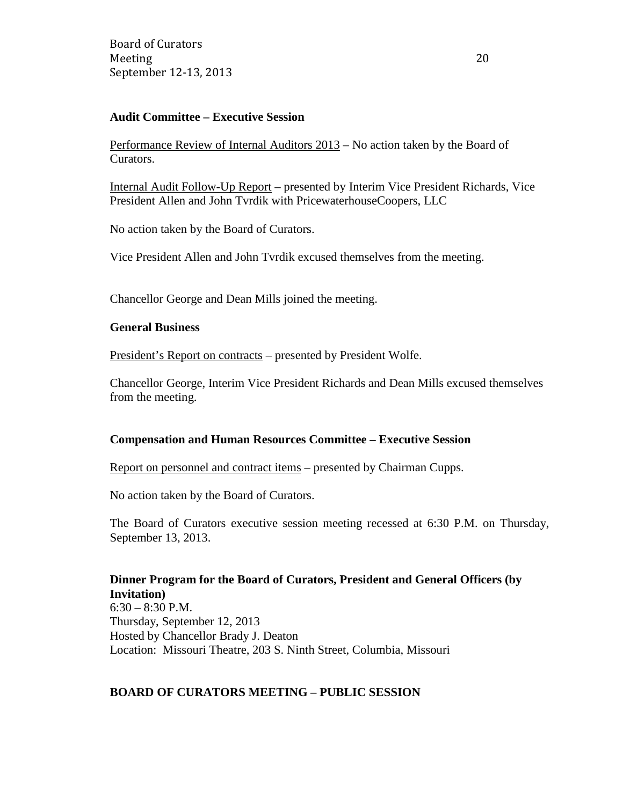### **Audit Committee – Executive Session**

Performance Review of Internal Auditors 2013 – No action taken by the Board of Curators.

Internal Audit Follow-Up Report – presented by Interim Vice President Richards, Vice President Allen and John Tvrdik with PricewaterhouseCoopers, LLC

No action taken by the Board of Curators.

Vice President Allen and John Tvrdik excused themselves from the meeting.

Chancellor George and Dean Mills joined the meeting.

#### **General Business**

President's Report on contracts – presented by President Wolfe.

Chancellor George, Interim Vice President Richards and Dean Mills excused themselves from the meeting.

#### **Compensation and Human Resources Committee – Executive Session**

Report on personnel and contract items – presented by Chairman Cupps.

No action taken by the Board of Curators.

The Board of Curators executive session meeting recessed at 6:30 P.M. on Thursday, September 13, 2013.

### **Dinner Program for the Board of Curators, President and General Officers (by Invitation)**

6:30 – 8:30 P.M. Thursday, September 12, 2013 Hosted by Chancellor Brady J. Deaton Location: Missouri Theatre, 203 S. Ninth Street, Columbia, Missouri

### **BOARD OF CURATORS MEETING – PUBLIC SESSION**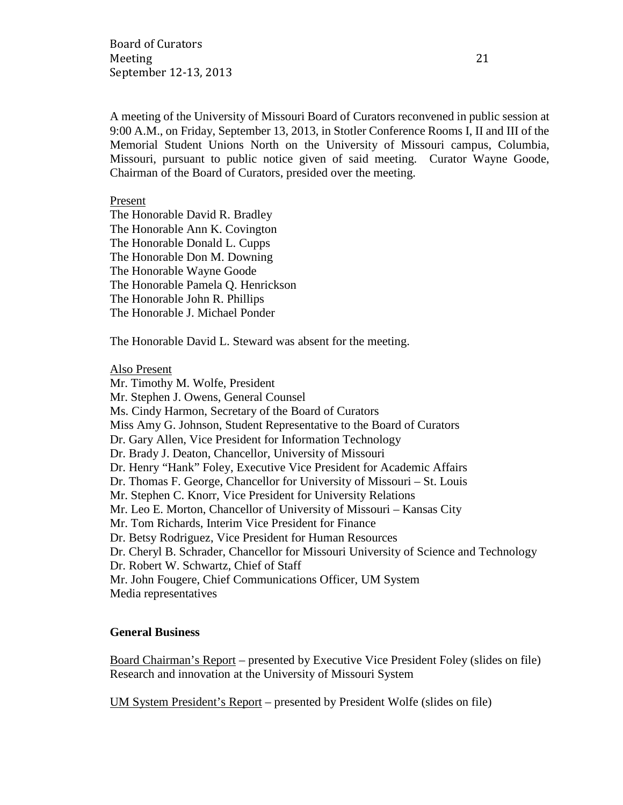Board of Curators Meeting 21 September 12-13, 2013

A meeting of the University of Missouri Board of Curators reconvened in public session at 9:00 A.M., on Friday, September 13, 2013, in Stotler Conference Rooms I, II and III of the Memorial Student Unions North on the University of Missouri campus, Columbia, Missouri, pursuant to public notice given of said meeting. Curator Wayne Goode, Chairman of the Board of Curators, presided over the meeting.

### Present

The Honorable David R. Bradley The Honorable Ann K. Covington The Honorable Donald L. Cupps The Honorable Don M. Downing The Honorable Wayne Goode The Honorable Pamela Q. Henrickson The Honorable John R. Phillips The Honorable J. Michael Ponder

The Honorable David L. Steward was absent for the meeting.

#### Also Present

Mr. Timothy M. Wolfe, President Mr. Stephen J. Owens, General Counsel Ms. Cindy Harmon, Secretary of the Board of Curators Miss Amy G. Johnson, Student Representative to the Board of Curators Dr. Gary Allen, Vice President for Information Technology Dr. Brady J. Deaton, Chancellor, University of Missouri Dr. Henry "Hank" Foley, Executive Vice President for Academic Affairs Dr. Thomas F. George, Chancellor for University of Missouri – St. Louis Mr. Stephen C. Knorr, Vice President for University Relations Mr. Leo E. Morton, Chancellor of University of Missouri – Kansas City Mr. Tom Richards, Interim Vice President for Finance Dr. Betsy Rodriguez, Vice President for Human Resources Dr. Cheryl B. Schrader, Chancellor for Missouri University of Science and Technology Dr. Robert W. Schwartz, Chief of Staff Mr. John Fougere, Chief Communications Officer, UM System Media representatives

### **General Business**

Board Chairman's Report – presented by Executive Vice President Foley (slides on file) Research and innovation at the University of Missouri System

UM System President's Report – presented by President Wolfe (slides on file)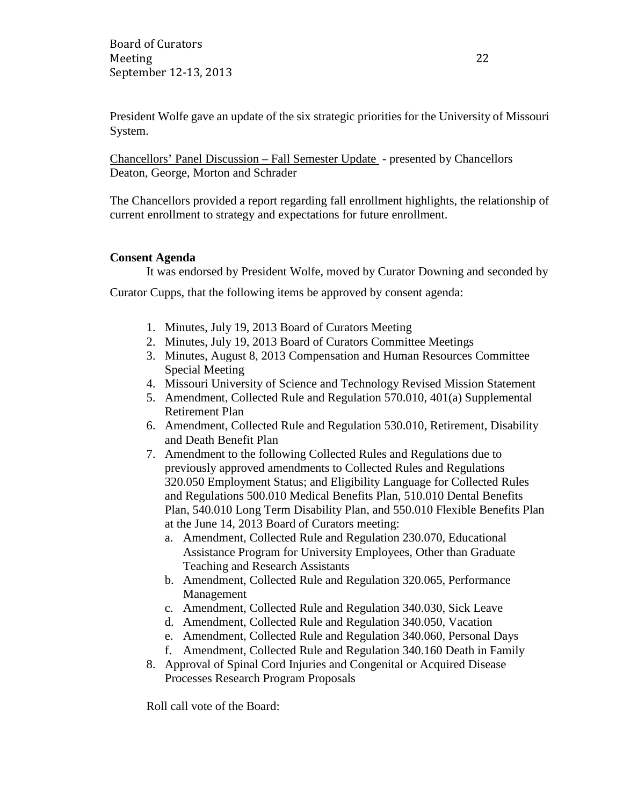President Wolfe gave an update of the six strategic priorities for the University of Missouri System.

Chancellors' Panel Discussion – Fall Semester Update - presented by Chancellors Deaton, George, Morton and Schrader

The Chancellors provided a report regarding fall enrollment highlights, the relationship of current enrollment to strategy and expectations for future enrollment.

### **Consent Agenda**

It was endorsed by President Wolfe, moved by Curator Downing and seconded by

Curator Cupps, that the following items be approved by consent agenda:

- 1. Minutes, July 19, 2013 Board of Curators Meeting
- 2. Minutes, July 19, 2013 Board of Curators Committee Meetings
- 3. Minutes, August 8, 2013 Compensation and Human Resources Committee Special Meeting
- 4. Missouri University of Science and Technology Revised Mission Statement
- 5. Amendment, Collected Rule and Regulation 570.010, 401(a) Supplemental Retirement Plan
- 6. Amendment, Collected Rule and Regulation 530.010, Retirement, Disability and Death Benefit Plan
- 7. Amendment to the following Collected Rules and Regulations due to previously approved amendments to Collected Rules and Regulations 320.050 Employment Status; and Eligibility Language for Collected Rules and Regulations 500.010 Medical Benefits Plan, 510.010 Dental Benefits Plan, 540.010 Long Term Disability Plan, and 550.010 Flexible Benefits Plan at the June 14, 2013 Board of Curators meeting:
	- a. Amendment, Collected Rule and Regulation 230.070, Educational Assistance Program for University Employees, Other than Graduate Teaching and Research Assistants
	- b. Amendment, Collected Rule and Regulation 320.065, Performance Management
	- c. Amendment, Collected Rule and Regulation 340.030, Sick Leave
	- d. Amendment, Collected Rule and Regulation 340.050, Vacation
	- e. Amendment, Collected Rule and Regulation 340.060, Personal Days
	- f. Amendment, Collected Rule and Regulation 340.160 Death in Family
- 8. Approval of Spinal Cord Injuries and Congenital or Acquired Disease Processes Research Program Proposals

Roll call vote of the Board: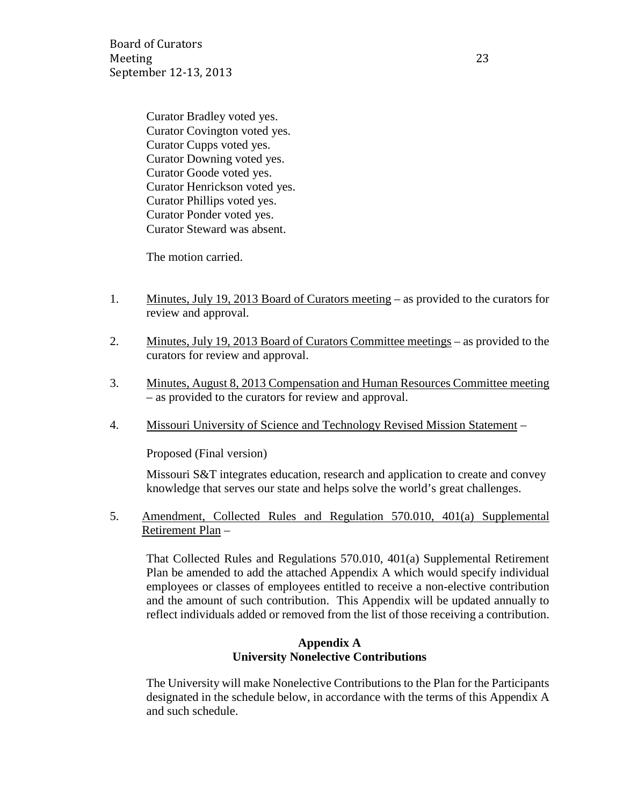Board of Curators Meeting 23 September 12-13, 2013

Curator Bradley voted yes. Curator Covington voted yes. Curator Cupps voted yes. Curator Downing voted yes. Curator Goode voted yes. Curator Henrickson voted yes. Curator Phillips voted yes. Curator Ponder voted yes. Curator Steward was absent.

The motion carried.

- 1. Minutes, July 19, 2013 Board of Curators meeting as provided to the curators for review and approval.
- 2. Minutes, July 19, 2013 Board of Curators Committee meetings as provided to the curators for review and approval.
- 3. Minutes, August 8, 2013 Compensation and Human Resources Committee meeting – as provided to the curators for review and approval.
- 4. Missouri University of Science and Technology Revised Mission Statement –

Proposed (Final version)

Missouri S&T integrates education, research and application to create and convey knowledge that serves our state and helps solve the world's great challenges.

5. Amendment, Collected Rules and Regulation 570.010, 401(a) Supplemental Retirement Plan –

That Collected Rules and Regulations 570.010, 401(a) Supplemental Retirement Plan be amended to add the attached Appendix A which would specify individual employees or classes of employees entitled to receive a non-elective contribution and the amount of such contribution. This Appendix will be updated annually to reflect individuals added or removed from the list of those receiving a contribution.

### **Appendix A University Nonelective Contributions**

The University will make Nonelective Contributions to the Plan for the Participants designated in the schedule below, in accordance with the terms of this Appendix A and such schedule.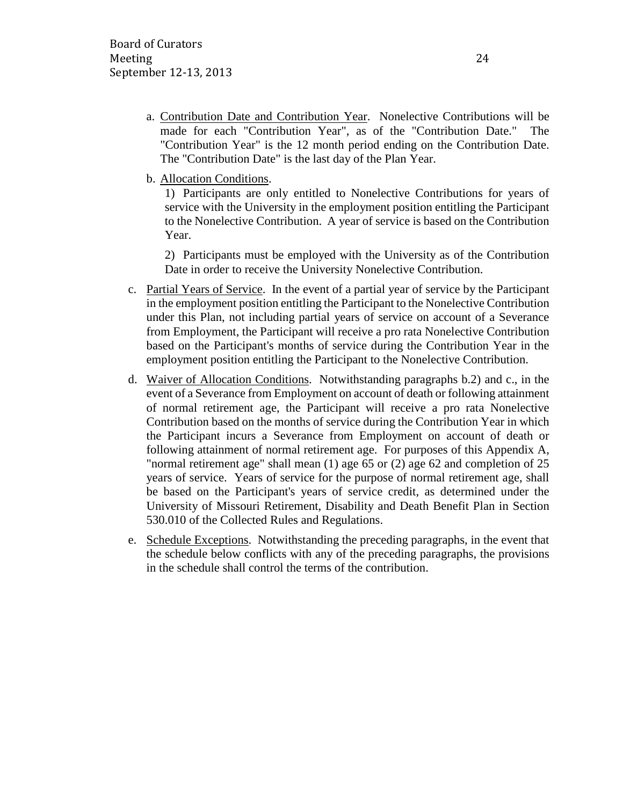- a. Contribution Date and Contribution Year. Nonelective Contributions will be made for each "Contribution Year", as of the "Contribution Date." The "Contribution Year" is the 12 month period ending on the Contribution Date. The "Contribution Date" is the last day of the Plan Year.
- b. Allocation Conditions.

1) Participants are only entitled to Nonelective Contributions for years of service with the University in the employment position entitling the Participant to the Nonelective Contribution. A year of service is based on the Contribution Year.

2) Participants must be employed with the University as of the Contribution Date in order to receive the University Nonelective Contribution.

- c. Partial Years of Service. In the event of a partial year of service by the Participant in the employment position entitling the Participant to the Nonelective Contribution under this Plan, not including partial years of service on account of a Severance from Employment, the Participant will receive a pro rata Nonelective Contribution based on the Participant's months of service during the Contribution Year in the employment position entitling the Participant to the Nonelective Contribution.
- d. Waiver of Allocation Conditions. Notwithstanding paragraphs b.2) and c., in the event of a Severance from Employment on account of death or following attainment of normal retirement age, the Participant will receive a pro rata Nonelective Contribution based on the months of service during the Contribution Year in which the Participant incurs a Severance from Employment on account of death or following attainment of normal retirement age. For purposes of this Appendix A, "normal retirement age" shall mean (1) age 65 or (2) age 62 and completion of 25 years of service. Years of service for the purpose of normal retirement age, shall be based on the Participant's years of service credit, as determined under the University of Missouri Retirement, Disability and Death Benefit Plan in Section 530.010 of the Collected Rules and Regulations.
- e. Schedule Exceptions. Notwithstanding the preceding paragraphs, in the event that the schedule below conflicts with any of the preceding paragraphs, the provisions in the schedule shall control the terms of the contribution.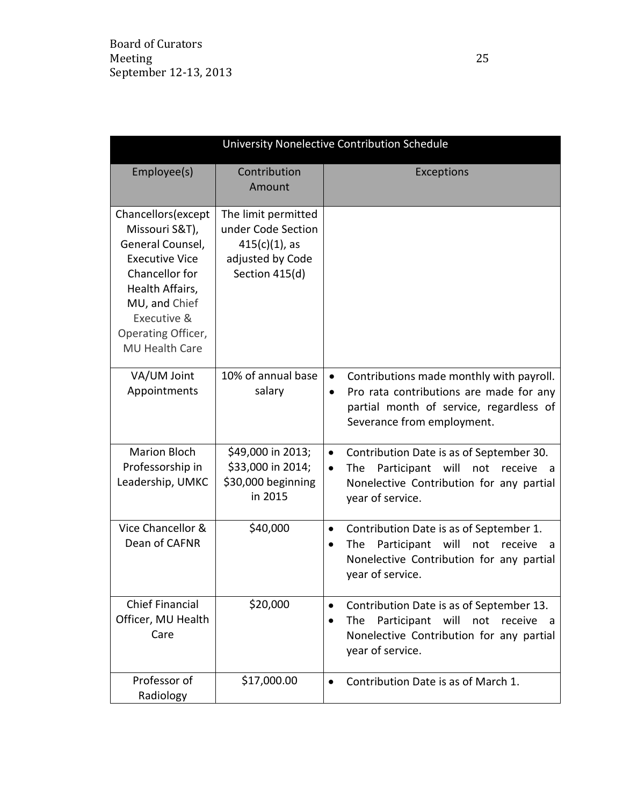| University Nonelective Contribution Schedule                                                                                                                                                           |                                                                                                     |                                                                                                                                                                                        |  |
|--------------------------------------------------------------------------------------------------------------------------------------------------------------------------------------------------------|-----------------------------------------------------------------------------------------------------|----------------------------------------------------------------------------------------------------------------------------------------------------------------------------------------|--|
| Employee(s)                                                                                                                                                                                            | Contribution<br>Amount                                                                              | Exceptions                                                                                                                                                                             |  |
| Chancellors (except<br>Missouri S&T),<br>General Counsel,<br><b>Executive Vice</b><br>Chancellor for<br>Health Affairs,<br>MU, and Chief<br>Executive &<br>Operating Officer,<br><b>MU Health Care</b> | The limit permitted<br>under Code Section<br>$415(c)(1)$ , as<br>adjusted by Code<br>Section 415(d) |                                                                                                                                                                                        |  |
| VA/UM Joint<br>Appointments                                                                                                                                                                            | 10% of annual base<br>salary                                                                        | Contributions made monthly with payroll.<br>$\bullet$<br>Pro rata contributions are made for any<br>$\bullet$<br>partial month of service, regardless of<br>Severance from employment. |  |
| <b>Marion Bloch</b><br>Professorship in<br>Leadership, UMKC                                                                                                                                            | \$49,000 in 2013;<br>\$33,000 in 2014;<br>\$30,000 beginning<br>in 2015                             | Contribution Date is as of September 30.<br>$\bullet$<br>The Participant will not receive<br>$\bullet$<br>- a<br>Nonelective Contribution for any partial<br>year of service.          |  |
| Vice Chancellor &<br>Dean of CAFNR                                                                                                                                                                     | \$40,000                                                                                            | Contribution Date is as of September 1.<br>$\bullet$<br>Participant<br>will<br>not<br>The<br>receive<br>a<br>Nonelective Contribution for any partial<br>year of service.              |  |
| <b>Chief Financial</b><br>Officer, MU Health<br>Care                                                                                                                                                   | \$20,000                                                                                            | Contribution Date is as of September 13.<br>$\bullet$<br>Participant will not receive<br>The<br>a -<br>Nonelective Contribution for any partial<br>year of service.                    |  |
| Professor of<br>Radiology                                                                                                                                                                              | \$17,000.00                                                                                         | Contribution Date is as of March 1.<br>$\bullet$                                                                                                                                       |  |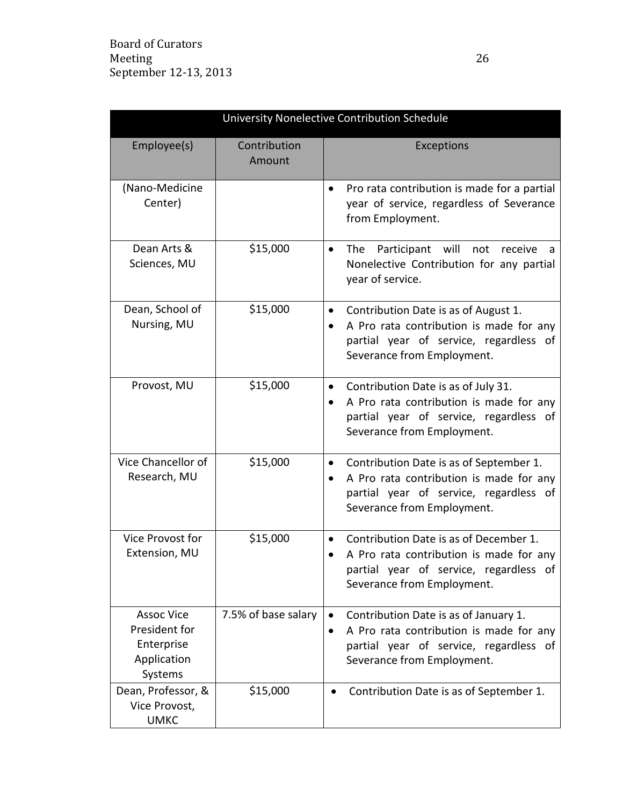| University Nonelective Contribution Schedule                               |                        |                                                                                                                                                                                   |
|----------------------------------------------------------------------------|------------------------|-----------------------------------------------------------------------------------------------------------------------------------------------------------------------------------|
| Employee(s)                                                                | Contribution<br>Amount | Exceptions                                                                                                                                                                        |
| (Nano-Medicine<br>Center)                                                  |                        | Pro rata contribution is made for a partial<br>٠<br>year of service, regardless of Severance<br>from Employment.                                                                  |
| Dean Arts &<br>Sciences, MU                                                | \$15,000               | Participant<br>will<br>The<br>not<br>receive<br>٠<br>a<br>Nonelective Contribution for any partial<br>year of service.                                                            |
| Dean, School of<br>Nursing, MU                                             | \$15,000               | Contribution Date is as of August 1.<br>$\bullet$<br>A Pro rata contribution is made for any<br>$\bullet$<br>partial year of service, regardless of<br>Severance from Employment. |
| Provost, MU                                                                | \$15,000               | Contribution Date is as of July 31.<br>٠<br>A Pro rata contribution is made for any<br>٠<br>partial year of service, regardless of<br>Severance from Employment.                  |
| Vice Chancellor of<br>Research, MU                                         | \$15,000               | Contribution Date is as of September 1.<br>$\bullet$<br>A Pro rata contribution is made for any<br>٠<br>partial year of service, regardless of<br>Severance from Employment.      |
| Vice Provost for<br>Extension, MU                                          | \$15,000               | Contribution Date is as of December 1.<br>٠<br>A Pro rata contribution is made for any<br>partial year of service, regardless of<br>Severance from Employment.                    |
| <b>Assoc Vice</b><br>President for<br>Enterprise<br>Application<br>Systems | 7.5% of base salary    | Contribution Date is as of January 1.<br>A Pro rata contribution is made for any<br>٠<br>partial year of service, regardless of<br>Severance from Employment.                     |
| Dean, Professor, &<br>Vice Provost,<br><b>UMKC</b>                         | \$15,000               | Contribution Date is as of September 1.                                                                                                                                           |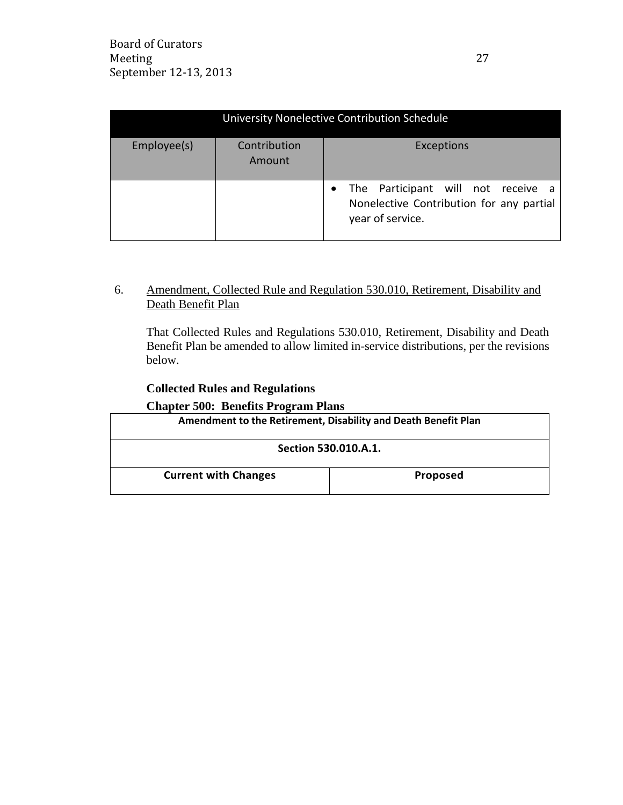| University Nonelective Contribution Schedule |                        |                                                                                                    |
|----------------------------------------------|------------------------|----------------------------------------------------------------------------------------------------|
| Employee(s)                                  | Contribution<br>Amount | Exceptions                                                                                         |
|                                              |                        | The Participant will not receive a<br>Nonelective Contribution for any partial<br>year of service. |

## 6. Amendment, Collected Rule and Regulation 530.010, Retirement, Disability and Death Benefit Plan

That Collected Rules and Regulations 530.010, Retirement, Disability and Death Benefit Plan be amended to allow limited in-service distributions, per the revisions below.

## **Collected Rules and Regulations**

### **Chapter 500: Benefits Program Plans**

| Amendment to the Retirement, Disability and Death Benefit Plan |                 |  |
|----------------------------------------------------------------|-----------------|--|
| Section 530.010.A.1.                                           |                 |  |
| <b>Current with Changes</b>                                    | <b>Proposed</b> |  |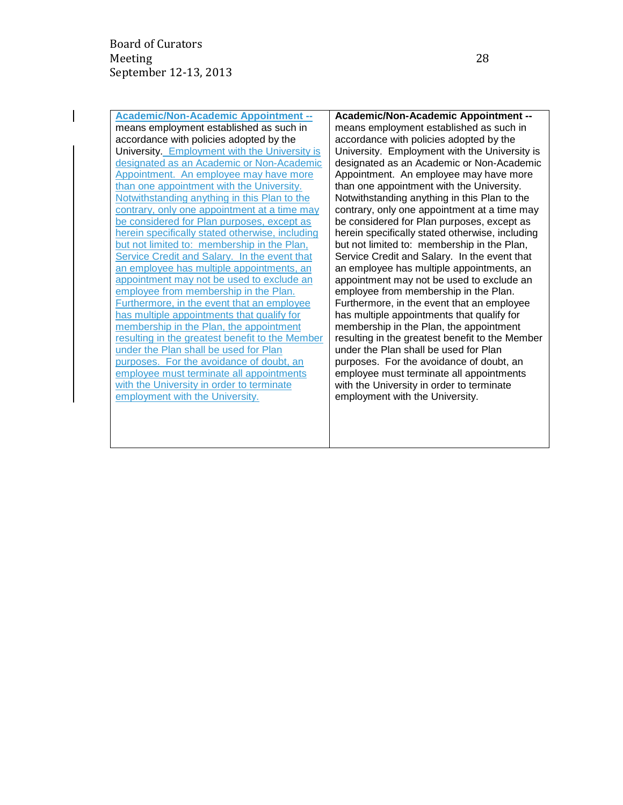**Academic/Non-Academic Appointment -** means employment established as such in accordance with policies adopted by the University. Employment with the University is designated as an Academic or Non-Academic Appointment. An employee may have more than one appointment with the University. Notwithstanding anything in this Plan to the contrary, only one appointment at a time may be considered for Plan purposes, except as herein specifically stated otherwise, including but not limited to: membership in the Plan, Service Credit and Salary. In the event that an employee has multiple appointments, an appointment may not be used to exclude an employee from membership in the Plan. Furthermore, in the event that an employee has multiple appointments that qualify for membership in the Plan, the appointment resulting in the greatest benefit to the Member under the Plan shall be used for Plan purposes. For the avoidance of doubt, an employee must terminate all appointments with the University in order to terminate employment with the University.

**Academic/Non-Academic Appointment -** means employment established as such in accordance with policies adopted by the University. Employment with the University is designated as an Academic or Non-Academic Appointment. An employee may have more than one appointment with the University. Notwithstanding anything in this Plan to the contrary, only one appointment at a time may be considered for Plan purposes, except as herein specifically stated otherwise, including but not limited to: membership in the Plan, Service Credit and Salary. In the event that an employee has multiple appointments, an appointment may not be used to exclude an employee from membership in the Plan. Furthermore, in the event that an employee has multiple appointments that qualify for membership in the Plan, the appointment resulting in the greatest benefit to the Member under the Plan shall be used for Plan purposes. For the avoidance of doubt, an employee must terminate all appointments with the University in order to terminate employment with the University.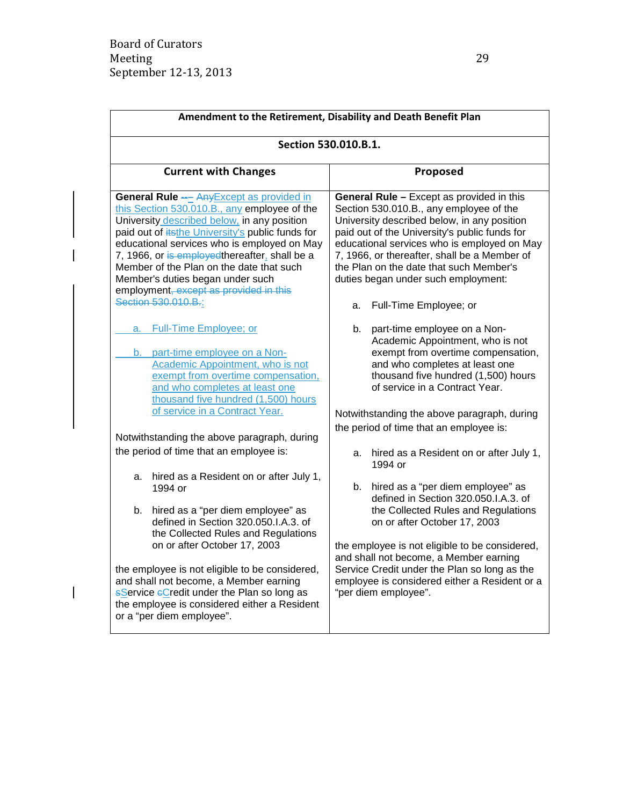$\blacksquare$ 

 $\overline{1}$ 

| Amendment to the Retirement, Disability and Death Benefit Plan                                                                                                                                                                                                                                                                                                                                                                                        |                                                                                                                                                                                                                                                                                                                                                                       |  |  |  |
|-------------------------------------------------------------------------------------------------------------------------------------------------------------------------------------------------------------------------------------------------------------------------------------------------------------------------------------------------------------------------------------------------------------------------------------------------------|-----------------------------------------------------------------------------------------------------------------------------------------------------------------------------------------------------------------------------------------------------------------------------------------------------------------------------------------------------------------------|--|--|--|
| Section 530.010.B.1.                                                                                                                                                                                                                                                                                                                                                                                                                                  |                                                                                                                                                                                                                                                                                                                                                                       |  |  |  |
| <b>Current with Changes</b>                                                                                                                                                                                                                                                                                                                                                                                                                           | Proposed                                                                                                                                                                                                                                                                                                                                                              |  |  |  |
| <b>General Rule --</b> Any Except as provided in<br>this Section 530.010.B., any employee of the<br>University described below, in any position<br>paid out of itsthe University's public funds for<br>educational services who is employed on May<br>7, 1966, or is employed thereafter, shall be a<br>Member of the Plan on the date that such<br>Member's duties began under such<br>employment, except as provided in this<br>Section 530.010.B.: | General Rule - Except as provided in this<br>Section 530.010.B., any employee of the<br>University described below, in any position<br>paid out of the University's public funds for<br>educational services who is employed on May<br>7, 1966, or thereafter, shall be a Member of<br>the Plan on the date that such Member's<br>duties began under such employment: |  |  |  |
|                                                                                                                                                                                                                                                                                                                                                                                                                                                       | Full-Time Employee; or<br>a.                                                                                                                                                                                                                                                                                                                                          |  |  |  |
| a. Full-Time Employee; or<br>b. part-time employee on a Non-<br>Academic Appointment, who is not<br>exempt from overtime compensation,<br>and who completes at least one<br>thousand five hundred (1,500) hours                                                                                                                                                                                                                                       | part-time employee on a Non-<br>b.<br>Academic Appointment, who is not<br>exempt from overtime compensation,<br>and who completes at least one<br>thousand five hundred (1,500) hours<br>of service in a Contract Year.                                                                                                                                               |  |  |  |
| of service in a Contract Year.                                                                                                                                                                                                                                                                                                                                                                                                                        | Notwithstanding the above paragraph, during                                                                                                                                                                                                                                                                                                                           |  |  |  |
| Notwithstanding the above paragraph, during                                                                                                                                                                                                                                                                                                                                                                                                           | the period of time that an employee is:                                                                                                                                                                                                                                                                                                                               |  |  |  |
| the period of time that an employee is:                                                                                                                                                                                                                                                                                                                                                                                                               | hired as a Resident on or after July 1,<br>а.<br>1994 or                                                                                                                                                                                                                                                                                                              |  |  |  |
| hired as a Resident on or after July 1,<br>а.<br>1994 or<br>hired as a "per diem employee" as<br>b.<br>defined in Section 320.050.I.A.3. of<br>the Collected Rules and Regulations<br>on or after October 17, 2003                                                                                                                                                                                                                                    | hired as a "per diem employee" as<br>b.<br>defined in Section 320.050.I.A.3. of<br>the Collected Rules and Regulations<br>on or after October 17, 2003<br>the employee is not eligible to be considered,                                                                                                                                                              |  |  |  |
| the employee is not eligible to be considered,<br>and shall not become, a Member earning<br><b>sService eCredit under the Plan so long as</b><br>the employee is considered either a Resident<br>or a "per diem employee".                                                                                                                                                                                                                            | and shall not become, a Member earning<br>Service Credit under the Plan so long as the<br>employee is considered either a Resident or a<br>"per diem employee".                                                                                                                                                                                                       |  |  |  |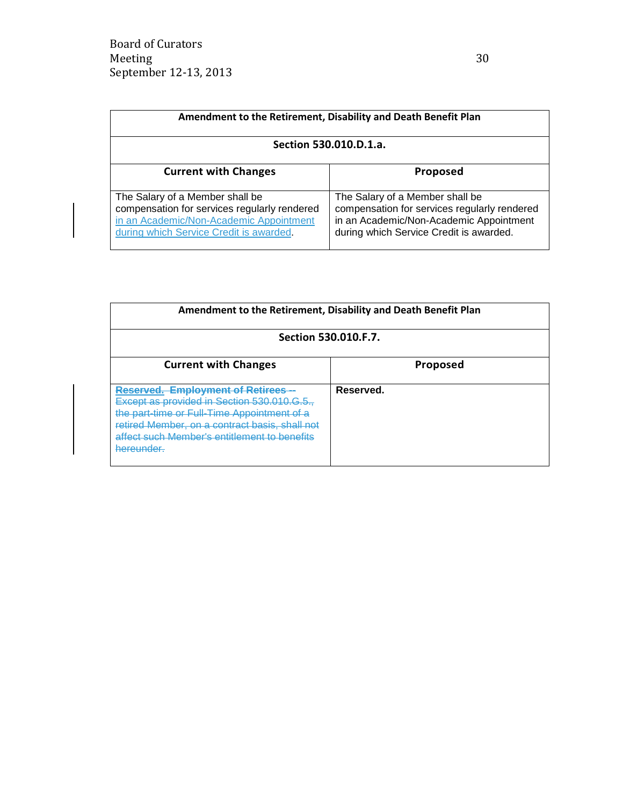| Amendment to the Retirement, Disability and Death Benefit Plan                                                                                                        |                                                                                                                                                                       |  |
|-----------------------------------------------------------------------------------------------------------------------------------------------------------------------|-----------------------------------------------------------------------------------------------------------------------------------------------------------------------|--|
| Section 530.010.D.1.a.                                                                                                                                                |                                                                                                                                                                       |  |
| <b>Current with Changes</b>                                                                                                                                           | <b>Proposed</b>                                                                                                                                                       |  |
| The Salary of a Member shall be<br>compensation for services regularly rendered<br>in an Academic/Non-Academic Appointment<br>during which Service Credit is awarded. | The Salary of a Member shall be<br>compensation for services regularly rendered<br>in an Academic/Non-Academic Appointment<br>during which Service Credit is awarded. |  |

| Amendment to the Retirement, Disability and Death Benefit Plan                                                                                                                                                                                       |                 |  |
|------------------------------------------------------------------------------------------------------------------------------------------------------------------------------------------------------------------------------------------------------|-----------------|--|
| Section 530.010.F.7.                                                                                                                                                                                                                                 |                 |  |
| <b>Current with Changes</b>                                                                                                                                                                                                                          | <b>Proposed</b> |  |
| <b>Employment of Retirees --</b><br>Except as provided in Section 530.010.<br>the part-time or Full-Time Appointment of a<br>retired Member, on a contract basis, shall not<br>affect such Member's entitlement to benefits<br><del>hereunder.</del> | Reserved.       |  |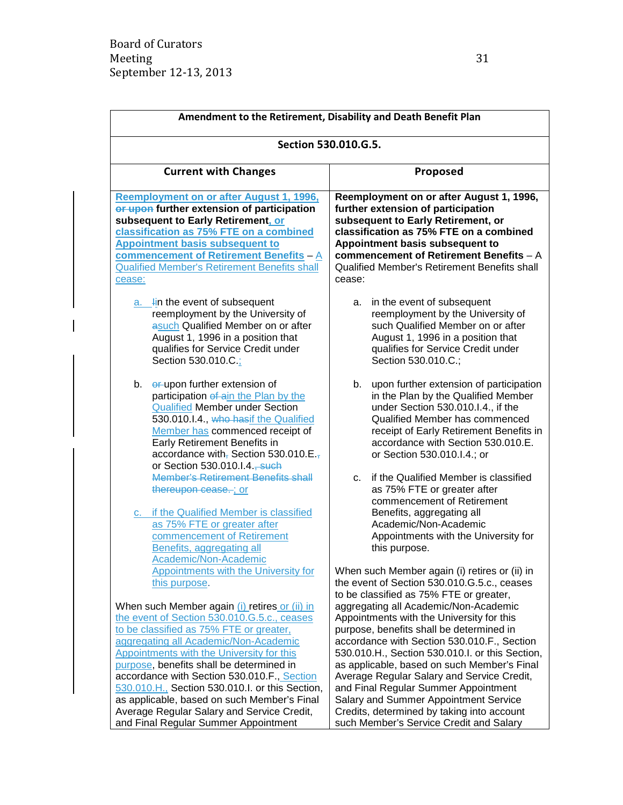| Amendment to the Retirement, Disability and Death Benefit Plan                                                                                                                                                                                                                                                                                                                                                                                                                                                   |                                                                                                                                                                                                                                                                                                                                                                                                                                                                                                         |
|------------------------------------------------------------------------------------------------------------------------------------------------------------------------------------------------------------------------------------------------------------------------------------------------------------------------------------------------------------------------------------------------------------------------------------------------------------------------------------------------------------------|---------------------------------------------------------------------------------------------------------------------------------------------------------------------------------------------------------------------------------------------------------------------------------------------------------------------------------------------------------------------------------------------------------------------------------------------------------------------------------------------------------|
| Section 530.010.G.5.                                                                                                                                                                                                                                                                                                                                                                                                                                                                                             |                                                                                                                                                                                                                                                                                                                                                                                                                                                                                                         |
| <b>Current with Changes</b>                                                                                                                                                                                                                                                                                                                                                                                                                                                                                      | Proposed                                                                                                                                                                                                                                                                                                                                                                                                                                                                                                |
| Reemployment on or after August 1, 1996,<br>or upon further extension of participation<br>subsequent to Early Retirement, or<br>classification as 75% FTE on a combined<br><b>Appointment basis subsequent to</b><br><b>commencement of Retirement Benefits - A</b><br><b>Qualified Member's Retirement Benefits shall</b><br>cease:                                                                                                                                                                             | Reemployment on or after August 1, 1996,<br>further extension of participation<br>subsequent to Early Retirement, or<br>classification as 75% FTE on a combined<br>Appointment basis subsequent to<br>commencement of Retirement Benefits - A<br>Qualified Member's Retirement Benefits shall<br>cease:                                                                                                                                                                                                 |
| $a.$ lin the event of subsequent<br>reemployment by the University of<br>asuch Qualified Member on or after<br>August 1, 1996 in a position that<br>qualifies for Service Credit under<br>Section 530.010.C.;                                                                                                                                                                                                                                                                                                    | in the event of subsequent<br>а.<br>reemployment by the University of<br>such Qualified Member on or after<br>August 1, 1996 in a position that<br>qualifies for Service Credit under<br>Section 530.010.C.;                                                                                                                                                                                                                                                                                            |
| er-upon further extension of<br>b.<br>participation of ain the Plan by the<br><b>Qualified Member under Section</b><br>530.010.I.4., who hasif the Qualified<br>Member has commenced receipt of<br>Early Retirement Benefits in<br>accordance with, Section 530.010.E.,<br>or Section 530.010.I.4., such                                                                                                                                                                                                         | b.<br>upon further extension of participation<br>in the Plan by the Qualified Member<br>under Section 530.010.I.4., if the<br>Qualified Member has commenced<br>receipt of Early Retirement Benefits in<br>accordance with Section 530.010.E.<br>or Section 530.010.I.4.; or                                                                                                                                                                                                                            |
| <b>Member's Retirement Benefits shall</b><br>thereupon cease. ; or<br>c. if the Qualified Member is classified<br>as 75% FTE or greater after<br>commencement of Retirement<br>Benefits, aggregating all<br>Academic/Non-Academic                                                                                                                                                                                                                                                                                | if the Qualified Member is classified<br>$C_{\cdot}$<br>as 75% FTE or greater after<br>commencement of Retirement<br>Benefits, aggregating all<br>Academic/Non-Academic<br>Appointments with the University for<br>this purpose.                                                                                                                                                                                                                                                                        |
| <b>Appointments with the University for</b><br>this purpose.                                                                                                                                                                                                                                                                                                                                                                                                                                                     | When such Member again (i) retires or (ii) in<br>the event of Section 530.010.G.5.c., ceases<br>to be classified as 75% FTE or greater,                                                                                                                                                                                                                                                                                                                                                                 |
| When such Member again (i) retires or (ii) in<br>the event of Section 530.010.G.5.c., ceases<br>to be classified as 75% FTE or greater,<br>aggregating all Academic/Non-Academic<br>Appointments with the University for this<br>purpose, benefits shall be determined in<br>accordance with Section 530.010.F., Section<br>530.010.H., Section 530.010.I. or this Section,<br>as applicable, based on such Member's Final<br>Average Regular Salary and Service Credit,<br>and Final Regular Summer Appointment | aggregating all Academic/Non-Academic<br>Appointments with the University for this<br>purpose, benefits shall be determined in<br>accordance with Section 530.010.F., Section<br>530.010.H., Section 530.010.I. or this Section,<br>as applicable, based on such Member's Final<br>Average Regular Salary and Service Credit,<br>and Final Regular Summer Appointment<br>Salary and Summer Appointment Service<br>Credits, determined by taking into account<br>such Member's Service Credit and Salary |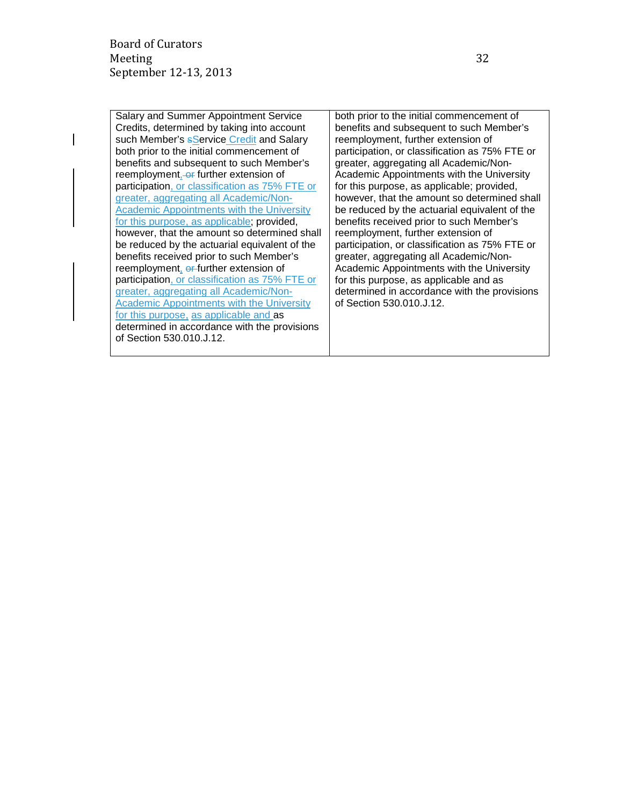of Section 530.010.J.12.

Salary and Summer Appointment Service Credits, determined by taking into account such Member's **sService Credit and Salary** both prior to the initial commencement of benefits and subsequent to such Member's reemployment, or further extension of participation, or classification as 75% FTE or greater, aggregating all Academic/Non-Academic Appointments with the University for this purpose, as applicable; provided, however, that the amount so determined shall be reduced by the actuarial equivalent of the benefits received prior to such Member's reemployment, or further extension of participation, or classification as 75% FTE or greater, aggregating all Academic/Non-Academic Appointments with the University for this purpose, as applicable and as determined in accordance with the provisions both prior to the initial commencement of benefits and subsequent to such Member's reemployment, further extension of participation, or classification as 75% FTE or greater, aggregating all Academic/Non-Academic Appointments with the University for this purpose, as applicable; provided, however, that the amount so determined shall be reduced by the actuarial equivalent of the benefits received prior to such Member's reemployment, further extension of participation, or classification as 75% FTE or greater, aggregating all Academic/Non-Academic Appointments with the University for this purpose, as applicable and as determined in accordance with the provisions of Section 530.010.J.12.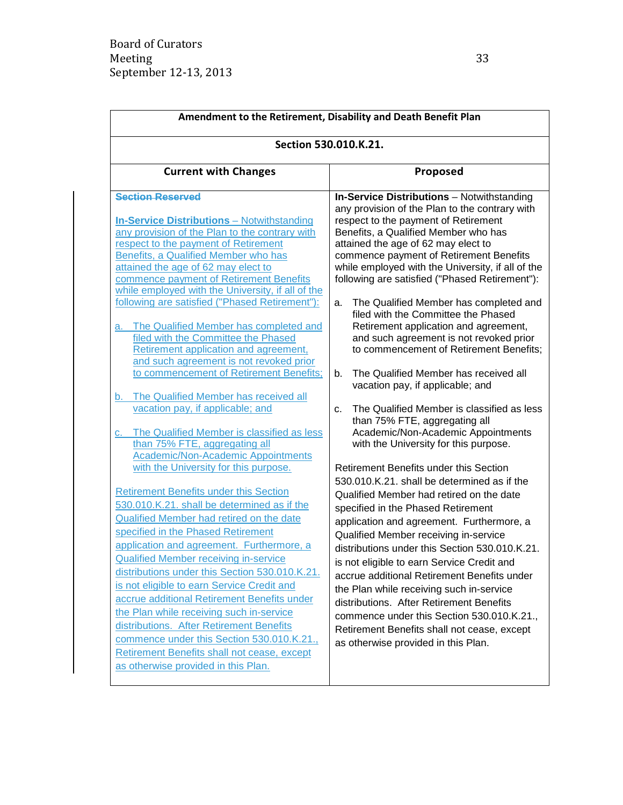| Amendment to the Retirement, Disability and Death Benefit Plan                                                                                                                                                                                                                                                                                                                                                                                                                                                                                                                                                                                                                                                                                                                                                                                                                                                                                                                                                                                                                                                                                                                                                                                                                                                                                                                                                                                                                                                                                     |                                                                                                                                                                                                                                                                                                                                                                                                                                                                                                                                                                                                                                                                                                                                                                                                                                                                                                                                                                                                                                                                                                                                                                                                                                                                                                                                                                                                                                                                                                            |  |
|----------------------------------------------------------------------------------------------------------------------------------------------------------------------------------------------------------------------------------------------------------------------------------------------------------------------------------------------------------------------------------------------------------------------------------------------------------------------------------------------------------------------------------------------------------------------------------------------------------------------------------------------------------------------------------------------------------------------------------------------------------------------------------------------------------------------------------------------------------------------------------------------------------------------------------------------------------------------------------------------------------------------------------------------------------------------------------------------------------------------------------------------------------------------------------------------------------------------------------------------------------------------------------------------------------------------------------------------------------------------------------------------------------------------------------------------------------------------------------------------------------------------------------------------------|------------------------------------------------------------------------------------------------------------------------------------------------------------------------------------------------------------------------------------------------------------------------------------------------------------------------------------------------------------------------------------------------------------------------------------------------------------------------------------------------------------------------------------------------------------------------------------------------------------------------------------------------------------------------------------------------------------------------------------------------------------------------------------------------------------------------------------------------------------------------------------------------------------------------------------------------------------------------------------------------------------------------------------------------------------------------------------------------------------------------------------------------------------------------------------------------------------------------------------------------------------------------------------------------------------------------------------------------------------------------------------------------------------------------------------------------------------------------------------------------------------|--|
| Section 530.010.K.21.                                                                                                                                                                                                                                                                                                                                                                                                                                                                                                                                                                                                                                                                                                                                                                                                                                                                                                                                                                                                                                                                                                                                                                                                                                                                                                                                                                                                                                                                                                                              |                                                                                                                                                                                                                                                                                                                                                                                                                                                                                                                                                                                                                                                                                                                                                                                                                                                                                                                                                                                                                                                                                                                                                                                                                                                                                                                                                                                                                                                                                                            |  |
| <b>Current with Changes</b>                                                                                                                                                                                                                                                                                                                                                                                                                                                                                                                                                                                                                                                                                                                                                                                                                                                                                                                                                                                                                                                                                                                                                                                                                                                                                                                                                                                                                                                                                                                        | Proposed                                                                                                                                                                                                                                                                                                                                                                                                                                                                                                                                                                                                                                                                                                                                                                                                                                                                                                                                                                                                                                                                                                                                                                                                                                                                                                                                                                                                                                                                                                   |  |
| <b>Section Reserved</b><br><b>In-Service Distributions - Notwithstanding</b><br>any provision of the Plan to the contrary with<br>respect to the payment of Retirement<br>Benefits, a Qualified Member who has<br>attained the age of 62 may elect to<br>commence payment of Retirement Benefits<br>while employed with the University, if all of the<br>following are satisfied ("Phased Retirement"):<br>The Qualified Member has completed and<br>а.<br>filed with the Committee the Phased<br>Retirement application and agreement,<br>and such agreement is not revoked prior<br>to commencement of Retirement Benefits;<br>b. The Qualified Member has received all<br>vacation pay, if applicable; and<br>The Qualified Member is classified as less<br>C.<br>than 75% FTE, aggregating all<br><b>Academic/Non-Academic Appointments</b><br>with the University for this purpose.<br><b>Retirement Benefits under this Section</b><br>530.010.K.21. shall be determined as if the<br>Qualified Member had retired on the date<br>specified in the Phased Retirement<br>application and agreement. Furthermore, a<br><b>Qualified Member receiving in-service</b><br>distributions under this Section 530.010.K.21.<br>is not eligible to earn Service Credit and<br>accrue additional Retirement Benefits under<br>the Plan while receiving such in-service<br>distributions. After Retirement Benefits<br>commence under this Section 530.010.K.21.,<br>Retirement Benefits shall not cease, except<br>as otherwise provided in this Plan. | <b>In-Service Distributions</b> - Notwithstanding<br>any provision of the Plan to the contrary with<br>respect to the payment of Retirement<br>Benefits, a Qualified Member who has<br>attained the age of 62 may elect to<br>commence payment of Retirement Benefits<br>while employed with the University, if all of the<br>following are satisfied ("Phased Retirement"):<br>The Qualified Member has completed and<br>a.<br>filed with the Committee the Phased<br>Retirement application and agreement,<br>and such agreement is not revoked prior<br>to commencement of Retirement Benefits;<br>The Qualified Member has received all<br>b.<br>vacation pay, if applicable; and<br>The Qualified Member is classified as less<br>$C_{r}$<br>than 75% FTE, aggregating all<br>Academic/Non-Academic Appointments<br>with the University for this purpose.<br>Retirement Benefits under this Section<br>530.010.K.21. shall be determined as if the<br>Qualified Member had retired on the date<br>specified in the Phased Retirement<br>application and agreement. Furthermore, a<br>Qualified Member receiving in-service<br>distributions under this Section 530.010.K.21.<br>is not eligible to earn Service Credit and<br>accrue additional Retirement Benefits under<br>the Plan while receiving such in-service<br>distributions. After Retirement Benefits<br>commence under this Section 530.010.K.21.,<br>Retirement Benefits shall not cease, except<br>as otherwise provided in this Plan. |  |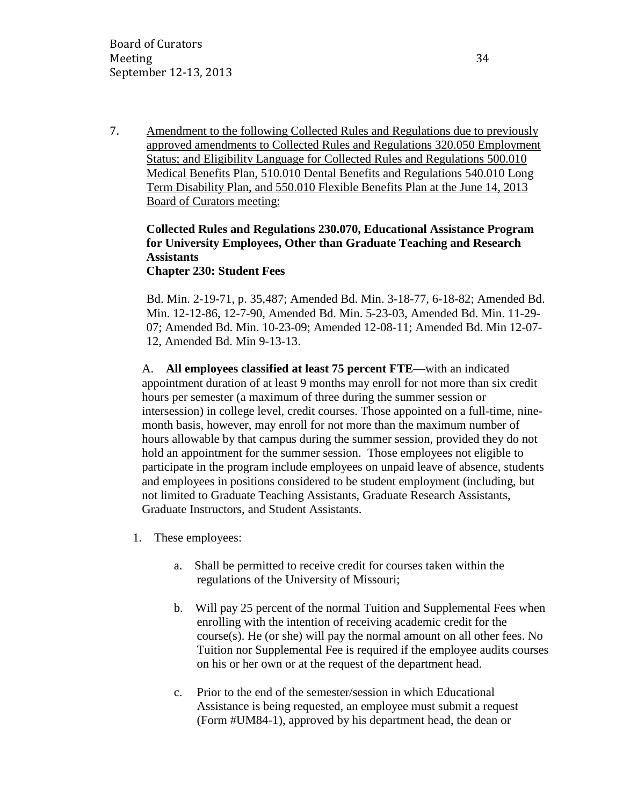7. Amendment to the following Collected Rules and Regulations due to previously approved amendments to Collected Rules and Regulations 320.050 Employment Status; and Eligibility Language for Collected Rules and Regulations 500.010 Medical Benefits Plan, 510.010 Dental Benefits and Regulations 540.010 Long Term Disability Plan, and 550.010 Flexible Benefits Plan at the June 14, 2013 Board of Curators meeting:

# **Collected Rules and Regulations 230.070, Educational Assistance Program for University Employees, Other than Graduate Teaching and Research Assistants**

### **Chapter 230: Student Fees**

Bd. Min. 2-19-71, p. 35,487; Amended Bd. Min. 3-18-77, 6-18-82; Amended Bd. Min. 12-12-86, 12-7-90, Amended Bd. Min. 5-23-03, Amended Bd. Min. 11-29- 07; Amended Bd. Min. 10-23-09; Amended 12-08-11; Amended Bd. Min 12-07- 12, Amended Bd. Min 9-13-13.

A. **All employees classified at least 75 percent FTE**—with an indicated appointment duration of at least 9 months may enroll for not more than six credit hours per semester (a maximum of three during the summer session or intersession) in college level, credit courses. Those appointed on a full-time, ninemonth basis, however, may enroll for not more than the maximum number of hours allowable by that campus during the summer session, provided they do not hold an appointment for the summer session. Those employees not eligible to participate in the program include employees on unpaid leave of absence, students and employees in positions considered to be student employment (including, but not limited to Graduate Teaching Assistants, Graduate Research Assistants, Graduate Instructors, and Student Assistants.

- 1. These employees:
	- a. Shall be permitted to receive credit for courses taken within the regulations of the University of Missouri;
	- b. Will pay 25 percent of the normal Tuition and Supplemental Fees when enrolling with the intention of receiving academic credit for the course(s). He (or she) will pay the normal amount on all other fees. No Tuition nor Supplemental Fee is required if the employee audits courses on his or her own or at the request of the department head.
	- c. Prior to the end of the semester/session in which Educational Assistance is being requested, an employee must submit a request (Form #UM84-1), approved by his department head, the dean or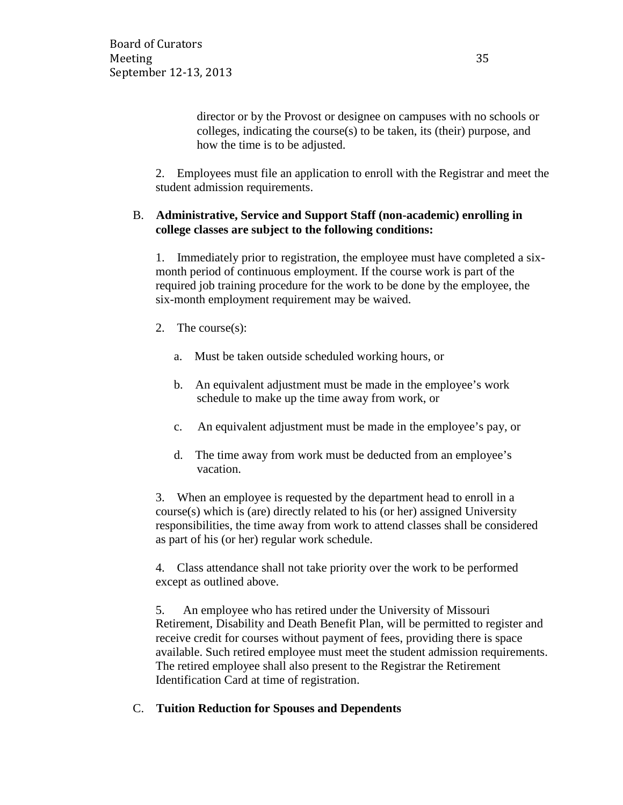director or by the Provost or designee on campuses with no schools or colleges, indicating the course(s) to be taken, its (their) purpose, and how the time is to be adjusted.

2. Employees must file an application to enroll with the Registrar and meet the student admission requirements.

## B. **Administrative, Service and Support Staff (non-academic) enrolling in college classes are subject to the following conditions:**

1. Immediately prior to registration, the employee must have completed a sixmonth period of continuous employment. If the course work is part of the required job training procedure for the work to be done by the employee, the six-month employment requirement may be waived.

- 2. The course(s):
	- a. Must be taken outside scheduled working hours, or
	- b. An equivalent adjustment must be made in the employee's work schedule to make up the time away from work, or
	- c. An equivalent adjustment must be made in the employee's pay, or
	- d. The time away from work must be deducted from an employee's vacation.

3. When an employee is requested by the department head to enroll in a course(s) which is (are) directly related to his (or her) assigned University responsibilities, the time away from work to attend classes shall be considered as part of his (or her) regular work schedule.

4. Class attendance shall not take priority over the work to be performed except as outlined above.

5. An employee who has retired under the University of Missouri Retirement, Disability and Death Benefit Plan, will be permitted to register and receive credit for courses without payment of fees, providing there is space available. Such retired employee must meet the student admission requirements. The retired employee shall also present to the Registrar the Retirement Identification Card at time of registration.

### C. **Tuition Reduction for Spouses and Dependents**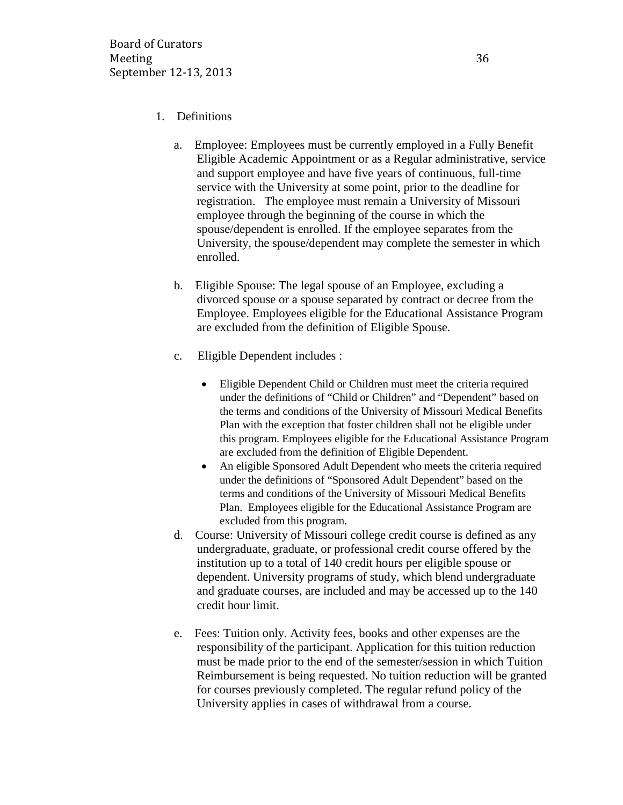### 1. Definitions

- a. Employee: Employees must be currently employed in a Fully Benefit Eligible Academic Appointment or as a Regular administrative, service and support employee and have five years of continuous, full-time service with the University at some point, prior to the deadline for registration. The employee must remain a University of Missouri employee through the beginning of the course in which the spouse/dependent is enrolled. If the employee separates from the University, the spouse/dependent may complete the semester in which enrolled.
- b. Eligible Spouse: The legal spouse of an Employee, excluding a divorced spouse or a spouse separated by contract or decree from the Employee. Employees eligible for the Educational Assistance Program are excluded from the definition of Eligible Spouse.
- c. Eligible Dependent includes :
	- Eligible Dependent Child or Children must meet the criteria required under the definitions of "Child or Children" and "Dependent" based on the terms and conditions of the University of Missouri Medical Benefits Plan with the exception that foster children shall not be eligible under this program. Employees eligible for the Educational Assistance Program are excluded from the definition of Eligible Dependent.
	- An eligible Sponsored Adult Dependent who meets the criteria required under the definitions of "Sponsored Adult Dependent" based on the terms and conditions of the University of Missouri Medical Benefits Plan. Employees eligible for the Educational Assistance Program are excluded from this program.
- d. Course: University of Missouri college credit course is defined as any undergraduate, graduate, or professional credit course offered by the institution up to a total of 140 credit hours per eligible spouse or dependent. University programs of study, which blend undergraduate and graduate courses, are included and may be accessed up to the 140 credit hour limit.
- e. Fees: Tuition only. Activity fees, books and other expenses are the responsibility of the participant. Application for this tuition reduction must be made prior to the end of the semester/session in which Tuition Reimbursement is being requested. No tuition reduction will be granted for courses previously completed. The regular refund policy of the University applies in cases of withdrawal from a course.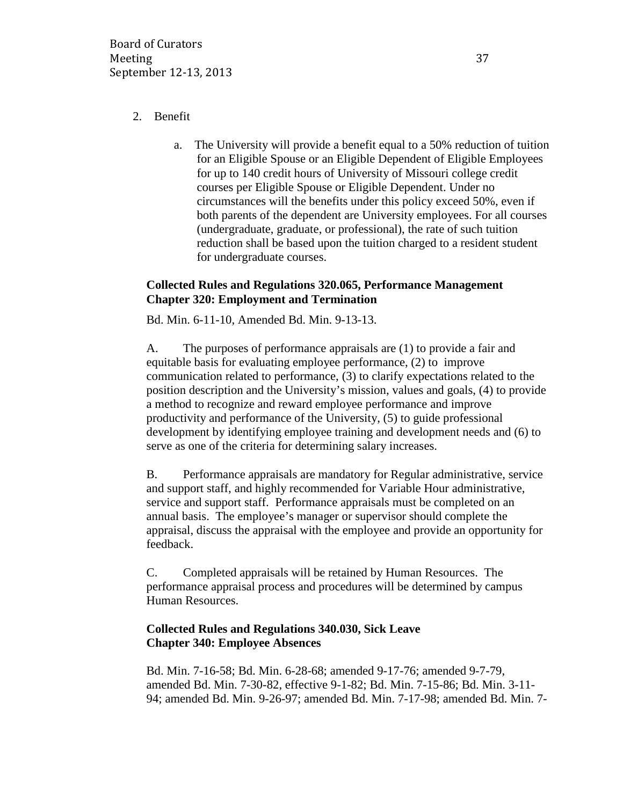## 2. Benefit

a. The University will provide a benefit equal to a 50% reduction of tuition for an Eligible Spouse or an Eligible Dependent of Eligible Employees for up to 140 credit hours of University of Missouri college credit courses per Eligible Spouse or Eligible Dependent. Under no circumstances will the benefits under this policy exceed 50%, even if both parents of the dependent are University employees. For all courses (undergraduate, graduate, or professional), the rate of such tuition reduction shall be based upon the tuition charged to a resident student for undergraduate courses.

## **Collected Rules and Regulations 320.065, Performance Management Chapter 320: Employment and Termination**

Bd. Min. 6-11-10, Amended Bd. Min. 9-13-13.

A. The purposes of performance appraisals are (1) to provide a fair and equitable basis for evaluating employee performance, (2) to improve communication related to performance, (3) to clarify expectations related to the position description and the University's mission, values and goals, (4) to provide a method to recognize and reward employee performance and improve productivity and performance of the University, (5) to guide professional development by identifying employee training and development needs and (6) to serve as one of the criteria for determining salary increases.

B. Performance appraisals are mandatory for Regular administrative, service and support staff, and highly recommended for Variable Hour administrative, service and support staff. Performance appraisals must be completed on an annual basis. The employee's manager or supervisor should complete the appraisal, discuss the appraisal with the employee and provide an opportunity for feedback.

C. Completed appraisals will be retained by Human Resources. The performance appraisal process and procedures will be determined by campus Human Resources.

## **Collected Rules and Regulations 340.030, Sick Leave Chapter 340: Employee Absences**

Bd. Min. 7-16-58; Bd. Min. 6-28-68; amended 9-17-76; amended 9-7-79, amended Bd. Min. 7-30-82, effective 9-1-82; Bd. Min. 7-15-86; Bd. Min. 3-11- 94; amended Bd. Min. 9-26-97; amended Bd. Min. 7-17-98; amended Bd. Min. 7-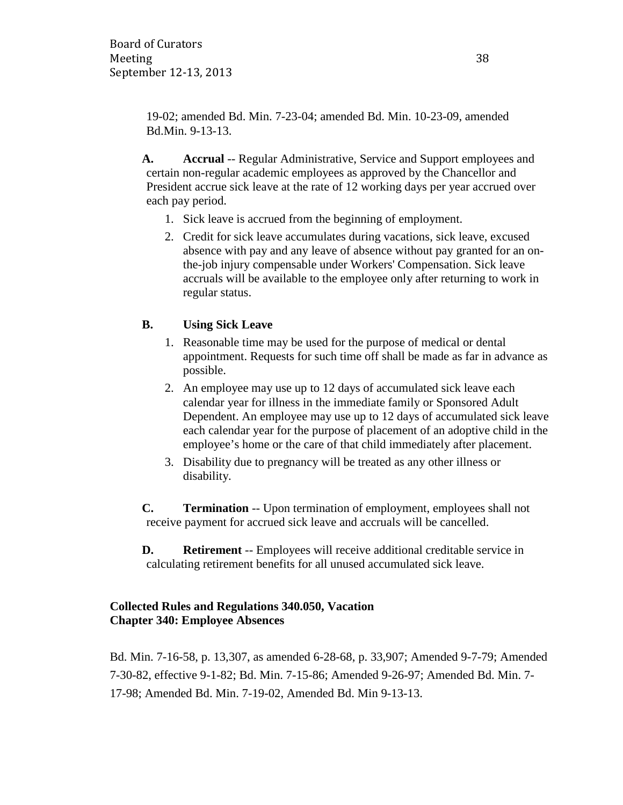19-02; amended Bd. Min. 7-23-04; amended Bd. Min. 10-23-09, amended Bd.Min. 9-13-13.

**A. Accrual** -- Regular Administrative, Service and Support employees and certain non-regular academic employees as approved by the Chancellor and President accrue sick leave at the rate of 12 working days per year accrued over each pay period.

- 1. Sick leave is accrued from the beginning of employment.
- 2. Credit for sick leave accumulates during vacations, sick leave, excused absence with pay and any leave of absence without pay granted for an onthe-job injury compensable under Workers' Compensation. Sick leave accruals will be available to the employee only after returning to work in regular status.

## **B. Using Sick Leave**

- 1. Reasonable time may be used for the purpose of medical or dental appointment. Requests for such time off shall be made as far in advance as possible.
- 2. An employee may use up to 12 days of accumulated sick leave each calendar year for illness in the immediate family or Sponsored Adult Dependent. An employee may use up to 12 days of accumulated sick leave each calendar year for the purpose of placement of an adoptive child in the employee's home or the care of that child immediately after placement.
- 3. Disability due to pregnancy will be treated as any other illness or disability.

**C. Termination** -- Upon termination of employment, employees shall not receive payment for accrued sick leave and accruals will be cancelled.

**D. Retirement** -- Employees will receive additional creditable service in calculating retirement benefits for all unused accumulated sick leave.

## **Collected Rules and Regulations 340.050, Vacation Chapter 340: Employee Absences**

Bd. Min. 7-16-58, p. 13,307, as amended 6-28-68, p. 33,907; Amended 9-7-79; Amended 7-30-82, effective 9-1-82; Bd. Min. 7-15-86; Amended 9-26-97; Amended Bd. Min. 7- 17-98; Amended Bd. Min. 7-19-02, Amended Bd. Min 9-13-13.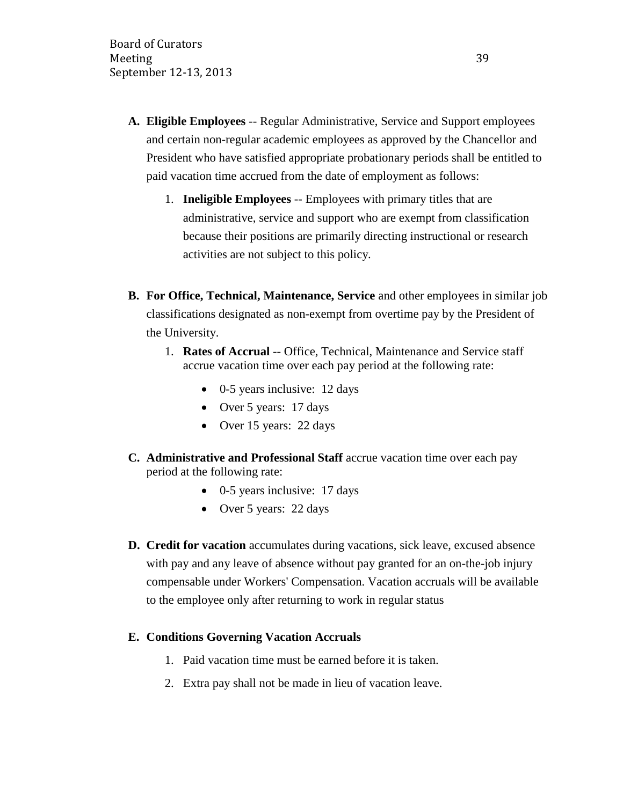- **A. Eligible Employees** -- Regular Administrative, Service and Support employees and certain non-regular academic employees as approved by the Chancellor and President who have satisfied appropriate probationary periods shall be entitled to paid vacation time accrued from the date of employment as follows:
	- 1. **Ineligible Employees** -- Employees with primary titles that are administrative, service and support who are exempt from classification because their positions are primarily directing instructional or research activities are not subject to this policy.
- **B. For Office, Technical, Maintenance, Service** and other employees in similar job classifications designated as non-exempt from overtime pay by the President of the University.
	- 1. **Rates of Accrual** -- Office, Technical, Maintenance and Service staff accrue vacation time over each pay period at the following rate:
		- 0-5 years inclusive: 12 days
		- Over 5 years: 17 days
		- Over 15 years: 22 days
- **C. Administrative and Professional Staff** accrue vacation time over each pay period at the following rate:
	- 0-5 years inclusive: 17 days
	- Over 5 years: 22 days
- **D. Credit for vacation** accumulates during vacations, sick leave, excused absence with pay and any leave of absence without pay granted for an on-the-job injury compensable under Workers' Compensation. Vacation accruals will be available to the employee only after returning to work in regular status

### **E. Conditions Governing Vacation Accruals**

- 1. Paid vacation time must be earned before it is taken.
- 2. Extra pay shall not be made in lieu of vacation leave.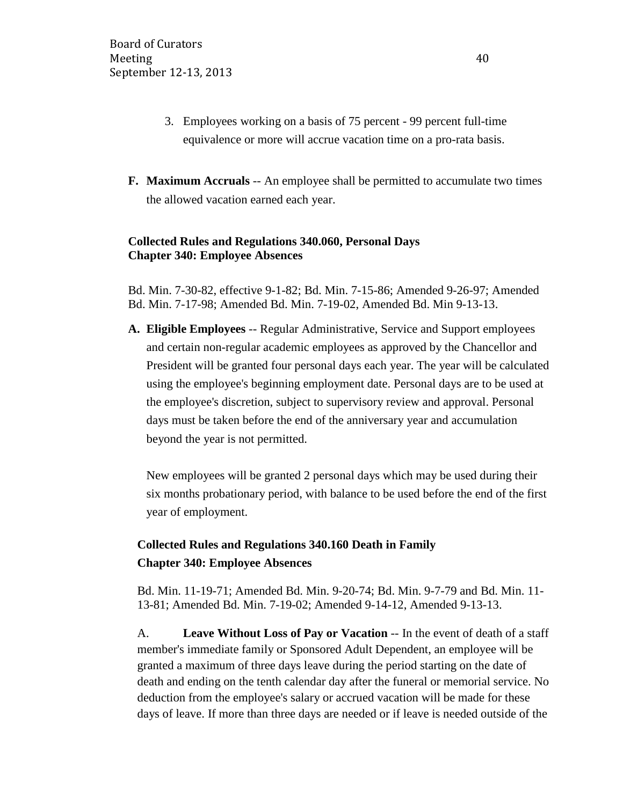- 3. Employees working on a basis of 75 percent 99 percent full-time equivalence or more will accrue vacation time on a pro-rata basis.
- **F. Maximum Accruals** -- An employee shall be permitted to accumulate two times the allowed vacation earned each year.

## **Collected Rules and Regulations 340.060, Personal Days Chapter 340: Employee Absences**

Bd. Min. 7-30-82, effective 9-1-82; Bd. Min. 7-15-86; Amended 9-26-97; Amended Bd. Min. 7-17-98; Amended Bd. Min. 7-19-02, Amended Bd. Min 9-13-13.

**A. Eligible Employees** -- Regular Administrative, Service and Support employees and certain non-regular academic employees as approved by the Chancellor and President will be granted four personal days each year. The year will be calculated using the employee's beginning employment date. Personal days are to be used at the employee's discretion, subject to supervisory review and approval. Personal days must be taken before the end of the anniversary year and accumulation beyond the year is not permitted.

New employees will be granted 2 personal days which may be used during their six months probationary period, with balance to be used before the end of the first year of employment.

# **Collected Rules and Regulations 340.160 Death in Family Chapter 340: Employee Absences**

Bd. Min. 11-19-71; Amended Bd. Min. 9-20-74; Bd. Min. 9-7-79 and Bd. Min. 11- 13-81; Amended Bd. Min. 7-19-02; Amended 9-14-12, Amended 9-13-13.

A. **Leave Without Loss of Pay or Vacation** -- In the event of death of a staff member's immediate family or Sponsored Adult Dependent, an employee will be granted a maximum of three days leave during the period starting on the date of death and ending on the tenth calendar day after the funeral or memorial service. No deduction from the employee's salary or accrued vacation will be made for these days of leave. If more than three days are needed or if leave is needed outside of the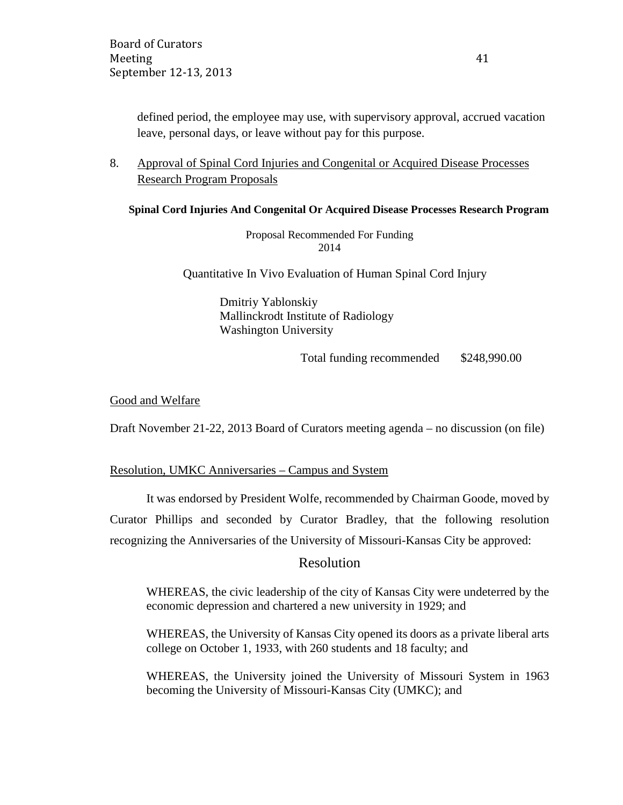defined period, the employee may use, with supervisory approval, accrued vacation leave, personal days, or leave without pay for this purpose.

8. Approval of Spinal Cord Injuries and Congenital or Acquired Disease Processes Research Program Proposals

**Spinal Cord Injuries And Congenital Or Acquired Disease Processes Research Program**

Proposal Recommended For Funding 2014

Quantitative In Vivo Evaluation of Human Spinal Cord Injury

Dmitriy Yablonskiy Mallinckrodt Institute of Radiology Washington University

Total funding recommended \$248,990.00

Good and Welfare

Draft November 21-22, 2013 Board of Curators meeting agenda – no discussion (on file)

#### Resolution, UMKC Anniversaries – Campus and System

It was endorsed by President Wolfe, recommended by Chairman Goode, moved by Curator Phillips and seconded by Curator Bradley, that the following resolution recognizing the Anniversaries of the University of Missouri-Kansas City be approved:

### Resolution

WHEREAS, the civic leadership of the city of Kansas City were undeterred by the economic depression and chartered a new university in 1929; and

WHEREAS, the University of Kansas City opened its doors as a private liberal arts college on October 1, 1933, with 260 students and 18 faculty; and

WHEREAS, the University joined the University of Missouri System in 1963 becoming the University of Missouri-Kansas City (UMKC); and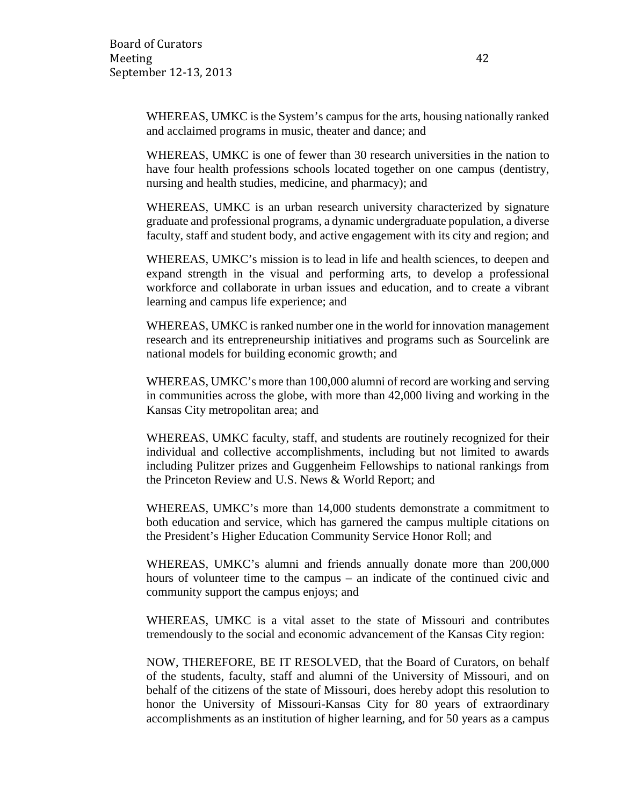WHEREAS, UMKC is the System's campus for the arts, housing nationally ranked and acclaimed programs in music, theater and dance; and

WHEREAS, UMKC is one of fewer than 30 research universities in the nation to have four health professions schools located together on one campus (dentistry, nursing and health studies, medicine, and pharmacy); and

WHEREAS, UMKC is an urban research university characterized by signature graduate and professional programs, a dynamic undergraduate population, a diverse faculty, staff and student body, and active engagement with its city and region; and

WHEREAS, UMKC's mission is to lead in life and health sciences, to deepen and expand strength in the visual and performing arts, to develop a professional workforce and collaborate in urban issues and education, and to create a vibrant learning and campus life experience; and

WHEREAS, UMKC is ranked number one in the world for innovation management research and its entrepreneurship initiatives and programs such as Sourcelink are national models for building economic growth; and

WHEREAS, UMKC's more than 100,000 alumni of record are working and serving in communities across the globe, with more than 42,000 living and working in the Kansas City metropolitan area; and

WHEREAS, UMKC faculty, staff, and students are routinely recognized for their individual and collective accomplishments, including but not limited to awards including Pulitzer prizes and Guggenheim Fellowships to national rankings from the Princeton Review and U.S. News & World Report; and

WHEREAS, UMKC's more than 14,000 students demonstrate a commitment to both education and service, which has garnered the campus multiple citations on the President's Higher Education Community Service Honor Roll; and

WHEREAS, UMKC's alumni and friends annually donate more than 200,000 hours of volunteer time to the campus – an indicate of the continued civic and community support the campus enjoys; and

WHEREAS, UMKC is a vital asset to the state of Missouri and contributes tremendously to the social and economic advancement of the Kansas City region:

NOW, THEREFORE, BE IT RESOLVED, that the Board of Curators, on behalf of the students, faculty, staff and alumni of the University of Missouri, and on behalf of the citizens of the state of Missouri, does hereby adopt this resolution to honor the University of Missouri-Kansas City for 80 years of extraordinary accomplishments as an institution of higher learning, and for 50 years as a campus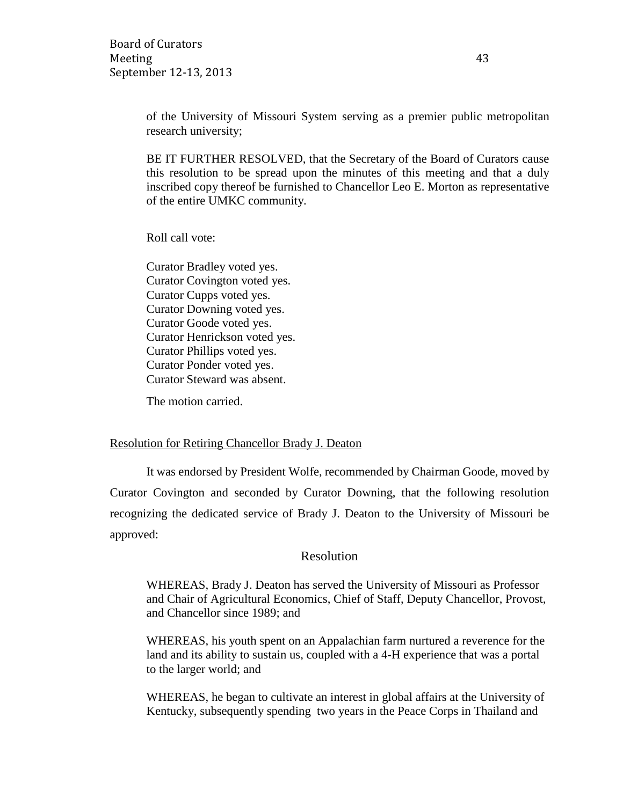Board of Curators Meeting 43 September 12-13, 2013

of the University of Missouri System serving as a premier public metropolitan research university;

BE IT FURTHER RESOLVED, that the Secretary of the Board of Curators cause this resolution to be spread upon the minutes of this meeting and that a duly inscribed copy thereof be furnished to Chancellor Leo E. Morton as representative of the entire UMKC community.

Roll call vote:

Curator Bradley voted yes. Curator Covington voted yes. Curator Cupps voted yes. Curator Downing voted yes. Curator Goode voted yes. Curator Henrickson voted yes. Curator Phillips voted yes. Curator Ponder voted yes. Curator Steward was absent.

The motion carried.

#### Resolution for Retiring Chancellor Brady J. Deaton

It was endorsed by President Wolfe, recommended by Chairman Goode, moved by Curator Covington and seconded by Curator Downing, that the following resolution recognizing the dedicated service of Brady J. Deaton to the University of Missouri be approved:

### Resolution

WHEREAS, Brady J. Deaton has served the University of Missouri as Professor and Chair of Agricultural Economics, Chief of Staff, Deputy Chancellor, Provost, and Chancellor since 1989; and

WHEREAS, his youth spent on an Appalachian farm nurtured a reverence for the land and its ability to sustain us, coupled with a 4-H experience that was a portal to the larger world; and

WHEREAS, he began to cultivate an interest in global affairs at the University of Kentucky, subsequently spending two years in the Peace Corps in Thailand and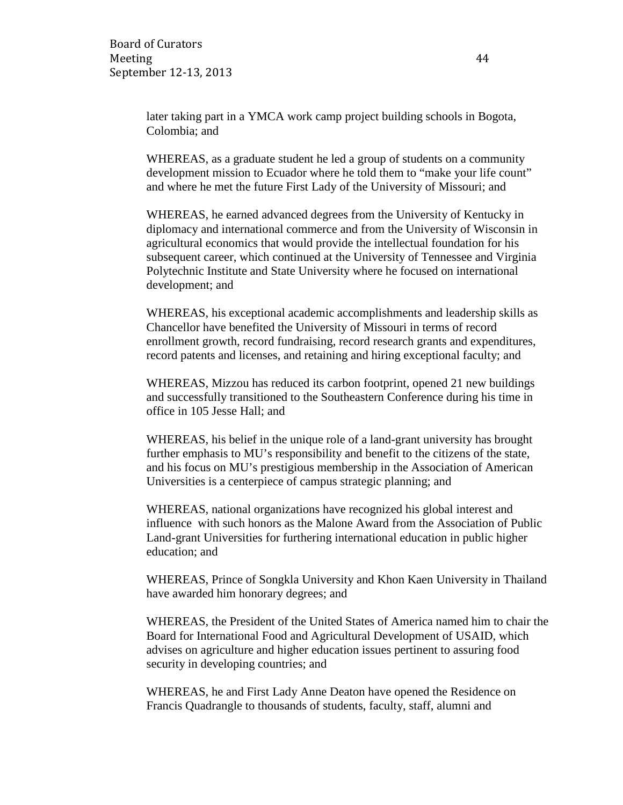later taking part in a YMCA work camp project building schools in Bogota, Colombia; and

WHEREAS, as a graduate student he led a group of students on a community development mission to Ecuador where he told them to "make your life count" and where he met the future First Lady of the University of Missouri; and

WHEREAS, he earned advanced degrees from the University of Kentucky in diplomacy and international commerce and from the University of Wisconsin in agricultural economics that would provide the intellectual foundation for his subsequent career, which continued at the University of Tennessee and Virginia Polytechnic Institute and State University where he focused on international development; and

WHEREAS, his exceptional academic accomplishments and leadership skills as Chancellor have benefited the University of Missouri in terms of record enrollment growth, record fundraising, record research grants and expenditures, record patents and licenses, and retaining and hiring exceptional faculty; and

WHEREAS, Mizzou has reduced its carbon footprint, opened 21 new buildings and successfully transitioned to the Southeastern Conference during his time in office in 105 Jesse Hall; and

WHEREAS, his belief in the unique role of a land-grant university has brought further emphasis to MU's responsibility and benefit to the citizens of the state, and his focus on MU's prestigious membership in the Association of American Universities is a centerpiece of campus strategic planning; and

WHEREAS, national organizations have recognized his global interest and influence with such honors as the Malone Award from the Association of Public Land-grant Universities for furthering international education in public higher education; and

WHEREAS, Prince of Songkla University and Khon Kaen University in Thailand have awarded him honorary degrees; and

WHEREAS, the President of the United States of America named him to chair the Board for International Food and Agricultural Development of USAID, which advises on agriculture and higher education issues pertinent to assuring food security in developing countries; and

WHEREAS, he and First Lady Anne Deaton have opened the Residence on Francis Quadrangle to thousands of students, faculty, staff, alumni and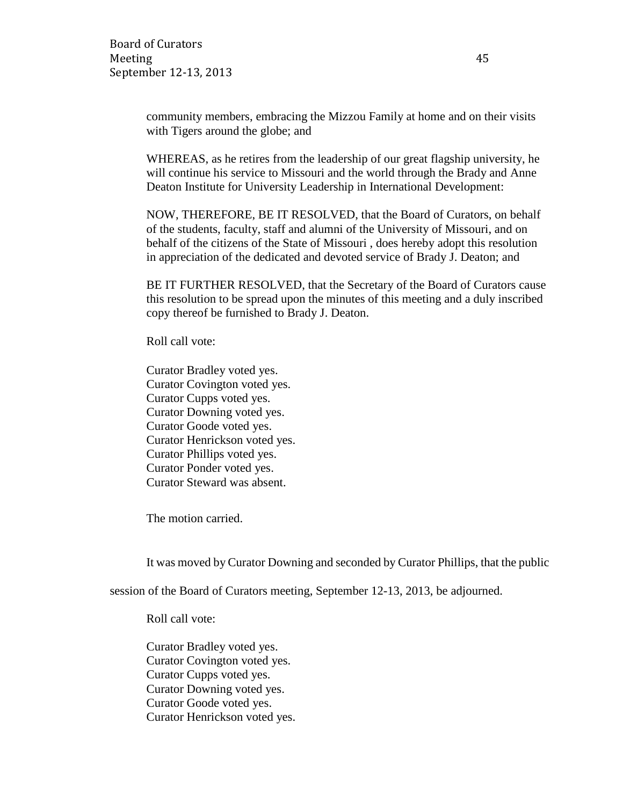community members, embracing the Mizzou Family at home and on their visits with Tigers around the globe; and

WHEREAS, as he retires from the leadership of our great flagship university, he will continue his service to Missouri and the world through the Brady and Anne Deaton Institute for University Leadership in International Development:

NOW, THEREFORE, BE IT RESOLVED, that the Board of Curators, on behalf of the students, faculty, staff and alumni of the University of Missouri, and on behalf of the citizens of the State of Missouri , does hereby adopt this resolution in appreciation of the dedicated and devoted service of Brady J. Deaton; and

BE IT FURTHER RESOLVED, that the Secretary of the Board of Curators cause this resolution to be spread upon the minutes of this meeting and a duly inscribed copy thereof be furnished to Brady J. Deaton.

Roll call vote:

Curator Bradley voted yes. Curator Covington voted yes. Curator Cupps voted yes. Curator Downing voted yes. Curator Goode voted yes. Curator Henrickson voted yes. Curator Phillips voted yes. Curator Ponder voted yes. Curator Steward was absent.

The motion carried.

It was moved by Curator Downing and seconded by Curator Phillips, that the public

session of the Board of Curators meeting, September 12-13, 2013, be adjourned.

Roll call vote:

Curator Bradley voted yes. Curator Covington voted yes. Curator Cupps voted yes. Curator Downing voted yes. Curator Goode voted yes. Curator Henrickson voted yes.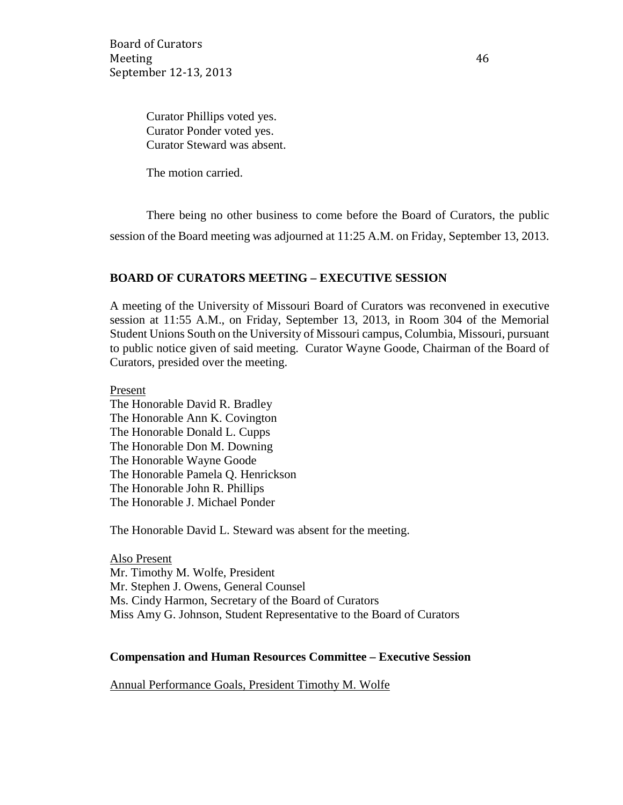Board of Curators Meeting 46 September 12-13, 2013

Curator Phillips voted yes. Curator Ponder voted yes. Curator Steward was absent.

The motion carried.

There being no other business to come before the Board of Curators, the public session of the Board meeting was adjourned at 11:25 A.M. on Friday, September 13, 2013.

### **BOARD OF CURATORS MEETING – EXECUTIVE SESSION**

A meeting of the University of Missouri Board of Curators was reconvened in executive session at 11:55 A.M., on Friday, September 13, 2013, in Room 304 of the Memorial Student Unions South on the University of Missouri campus, Columbia, Missouri, pursuant to public notice given of said meeting. Curator Wayne Goode, Chairman of the Board of Curators, presided over the meeting.

Present The Honorable David R. Bradley The Honorable Ann K. Covington The Honorable Donald L. Cupps The Honorable Don M. Downing The Honorable Wayne Goode The Honorable Pamela Q. Henrickson The Honorable John R. Phillips The Honorable J. Michael Ponder

The Honorable David L. Steward was absent for the meeting.

Also Present Mr. Timothy M. Wolfe, President Mr. Stephen J. Owens, General Counsel Ms. Cindy Harmon, Secretary of the Board of Curators Miss Amy G. Johnson, Student Representative to the Board of Curators

### **Compensation and Human Resources Committee – Executive Session**

Annual Performance Goals, President Timothy M. Wolfe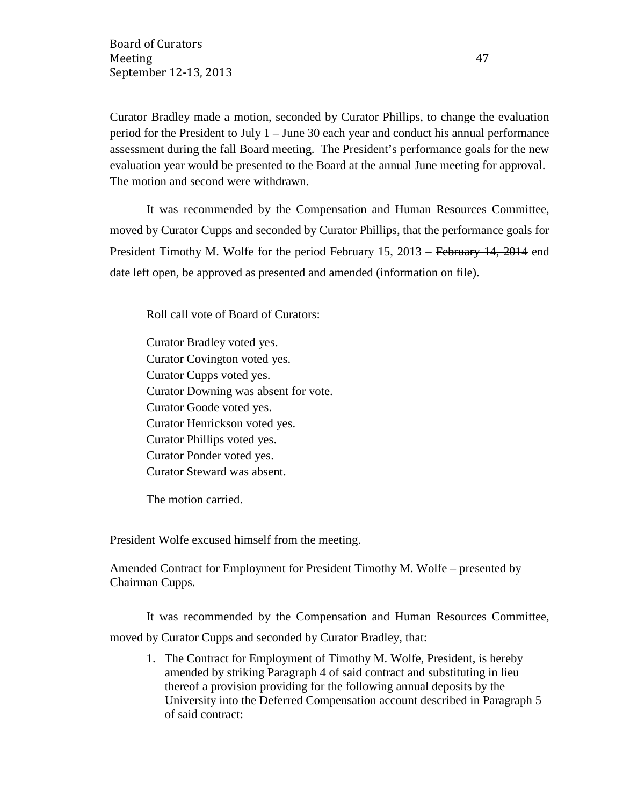Curator Bradley made a motion, seconded by Curator Phillips, to change the evaluation period for the President to July 1 – June 30 each year and conduct his annual performance assessment during the fall Board meeting. The President's performance goals for the new evaluation year would be presented to the Board at the annual June meeting for approval. The motion and second were withdrawn.

It was recommended by the Compensation and Human Resources Committee, moved by Curator Cupps and seconded by Curator Phillips, that the performance goals for President Timothy M. Wolfe for the period February 15, 2013 – February 14, 2014 end date left open, be approved as presented and amended (information on file).

Roll call vote of Board of Curators:

Curator Bradley voted yes. Curator Covington voted yes. Curator Cupps voted yes. Curator Downing was absent for vote. Curator Goode voted yes. Curator Henrickson voted yes. Curator Phillips voted yes. Curator Ponder voted yes. Curator Steward was absent.

The motion carried.

President Wolfe excused himself from the meeting.

Amended Contract for Employment for President Timothy M. Wolfe – presented by Chairman Cupps.

It was recommended by the Compensation and Human Resources Committee,

moved by Curator Cupps and seconded by Curator Bradley, that:

1. The Contract for Employment of Timothy M. Wolfe, President, is hereby amended by striking Paragraph 4 of said contract and substituting in lieu thereof a provision providing for the following annual deposits by the University into the Deferred Compensation account described in Paragraph 5 of said contract: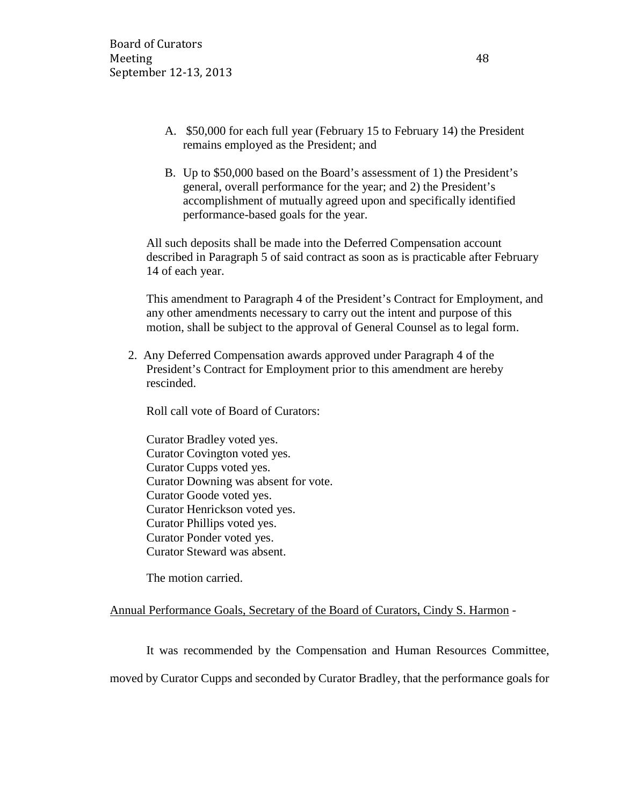- A. \$50,000 for each full year (February 15 to February 14) the President remains employed as the President; and
- B. Up to \$50,000 based on the Board's assessment of 1) the President's general, overall performance for the year; and 2) the President's accomplishment of mutually agreed upon and specifically identified performance-based goals for the year.

All such deposits shall be made into the Deferred Compensation account described in Paragraph 5 of said contract as soon as is practicable after February 14 of each year.

This amendment to Paragraph 4 of the President's Contract for Employment, and any other amendments necessary to carry out the intent and purpose of this motion, shall be subject to the approval of General Counsel as to legal form.

2. Any Deferred Compensation awards approved under Paragraph 4 of the President's Contract for Employment prior to this amendment are hereby rescinded.

Roll call vote of Board of Curators:

Curator Bradley voted yes. Curator Covington voted yes. Curator Cupps voted yes. Curator Downing was absent for vote. Curator Goode voted yes. Curator Henrickson voted yes. Curator Phillips voted yes. Curator Ponder voted yes. Curator Steward was absent.

The motion carried.

## Annual Performance Goals, Secretary of the Board of Curators, Cindy S. Harmon -

It was recommended by the Compensation and Human Resources Committee, moved by Curator Cupps and seconded by Curator Bradley, that the performance goals for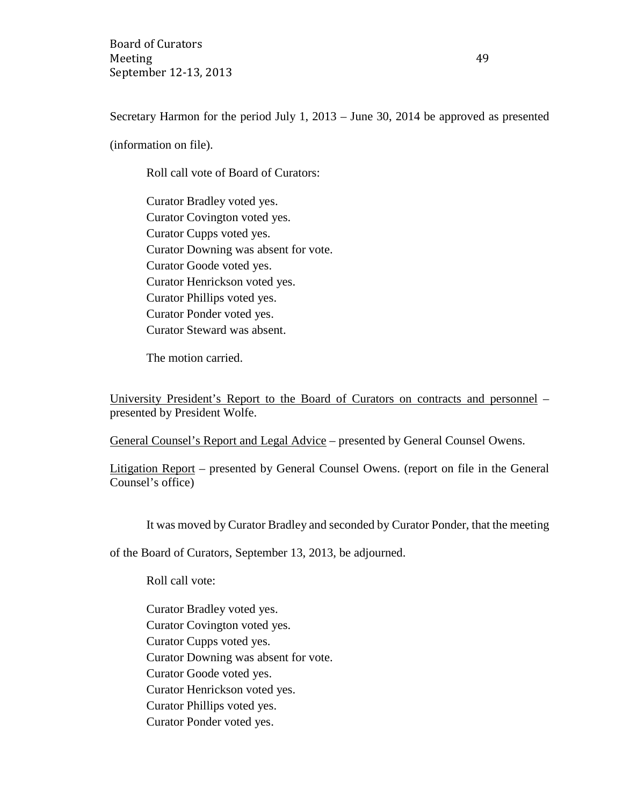Board of Curators Meeting 49 September 12-13, 2013

Secretary Harmon for the period July 1, 2013 – June 30, 2014 be approved as presented

(information on file).

Roll call vote of Board of Curators:

Curator Bradley voted yes. Curator Covington voted yes. Curator Cupps voted yes. Curator Downing was absent for vote. Curator Goode voted yes. Curator Henrickson voted yes. Curator Phillips voted yes. Curator Ponder voted yes. Curator Steward was absent.

The motion carried.

University President's Report to the Board of Curators on contracts and personnel – presented by President Wolfe.

General Counsel's Report and Legal Advice – presented by General Counsel Owens.

Litigation Report – presented by General Counsel Owens. (report on file in the General Counsel's office)

It was moved by Curator Bradley and seconded by Curator Ponder, that the meeting

of the Board of Curators, September 13, 2013, be adjourned.

Roll call vote:

Curator Bradley voted yes. Curator Covington voted yes. Curator Cupps voted yes. Curator Downing was absent for vote. Curator Goode voted yes. Curator Henrickson voted yes. Curator Phillips voted yes. Curator Ponder voted yes.